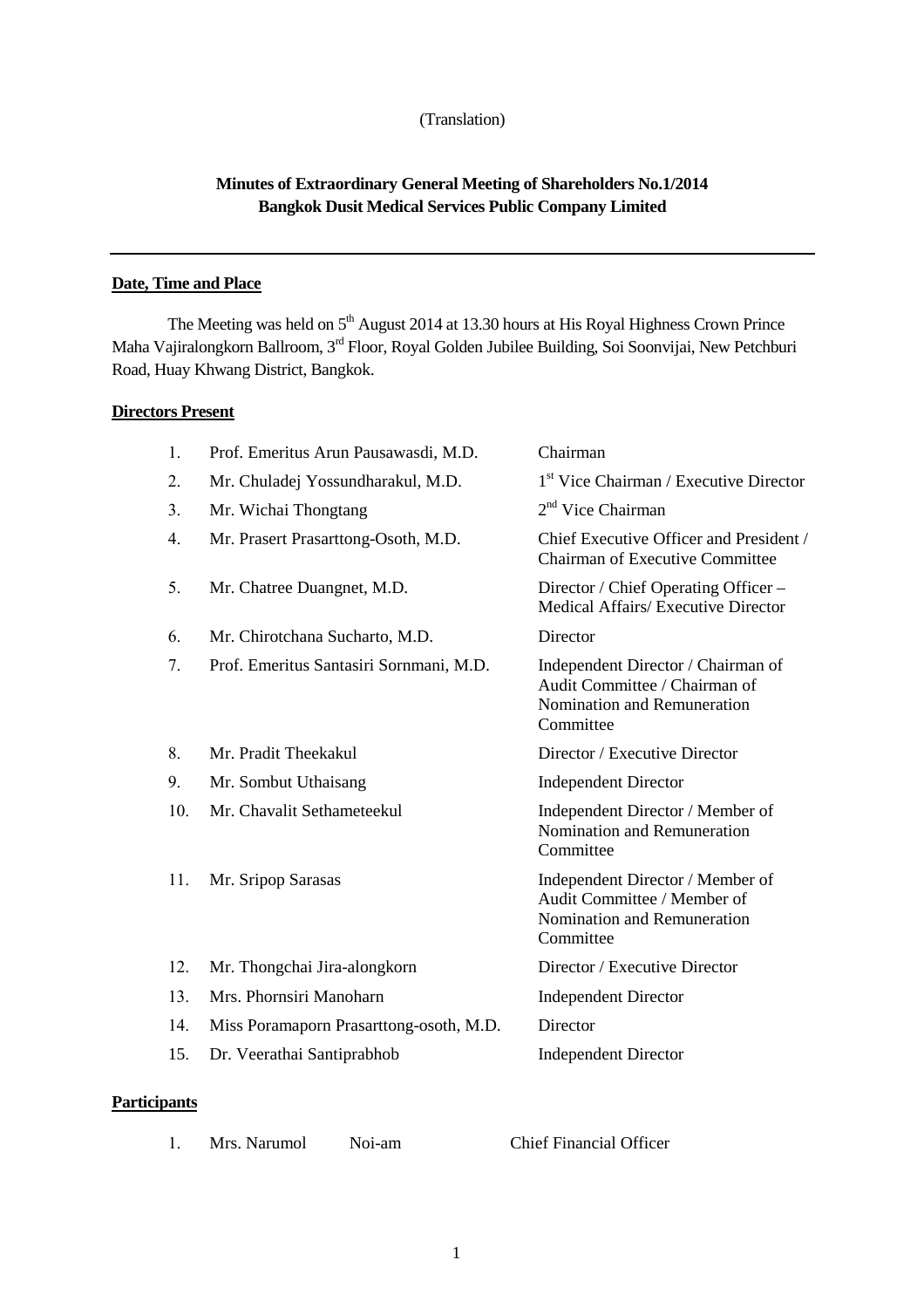## (Translation)

# **Minutes of Extraordinary General Meeting of Shareholders No.1/2014 Bangkok Dusit Medical Services Public Company Limited**

# **Date, Time and Place**

The Meeting was held on  $5<sup>th</sup>$  August 2014 at 13.30 hours at His Royal Highness Crown Prince Maha Vajiralongkorn Ballroom, 3rd Floor, Royal Golden Jubilee Building, Soi Soonvijai, New Petchburi Road, Huay Khwang District, Bangkok.

# **Directors Present**

| 1.  | Prof. Emeritus Arun Pausawasdi, M.D.    | Chairman                                                                                                        |
|-----|-----------------------------------------|-----------------------------------------------------------------------------------------------------------------|
| 2.  | Mr. Chuladej Yossundharakul, M.D.       | 1 <sup>st</sup> Vice Chairman / Executive Director                                                              |
| 3.  | Mr. Wichai Thongtang                    | $2nd$ Vice Chairman                                                                                             |
| 4.  | Mr. Prasert Prasarttong-Osoth, M.D.     | Chief Executive Officer and President /<br>Chairman of Executive Committee                                      |
| 5.  | Mr. Chatree Duangnet, M.D.              | Director / Chief Operating Officer –<br>Medical Affairs/ Executive Director                                     |
| 6.  | Mr. Chirotchana Sucharto, M.D.          | Director                                                                                                        |
| 7.  | Prof. Emeritus Santasiri Sornmani, M.D. | Independent Director / Chairman of<br>Audit Committee / Chairman of<br>Nomination and Remuneration<br>Committee |
| 8.  | Mr. Pradit Theekakul                    | Director / Executive Director                                                                                   |
| 9.  | Mr. Sombut Uthaisang                    | <b>Independent Director</b>                                                                                     |
| 10. | Mr. Chavalit Sethameteekul              | Independent Director / Member of<br>Nomination and Remuneration<br>Committee                                    |
| 11. | Mr. Sripop Sarasas                      | Independent Director / Member of<br>Audit Committee / Member of<br>Nomination and Remuneration<br>Committee     |
| 12. | Mr. Thongchai Jira-alongkorn            | Director / Executive Director                                                                                   |
| 13. | Mrs. Phornsiri Manoharn                 | <b>Independent Director</b>                                                                                     |
| 14. | Miss Poramaporn Prasarttong-osoth, M.D. | Director                                                                                                        |
| 15. | Dr. Veerathai Santiprabhob              | <b>Independent Director</b>                                                                                     |
|     |                                         |                                                                                                                 |

# **Participants**

| Mrs. Narumol | Noi-am | <b>Chief Financial Officer</b> |
|--------------|--------|--------------------------------|
|              |        |                                |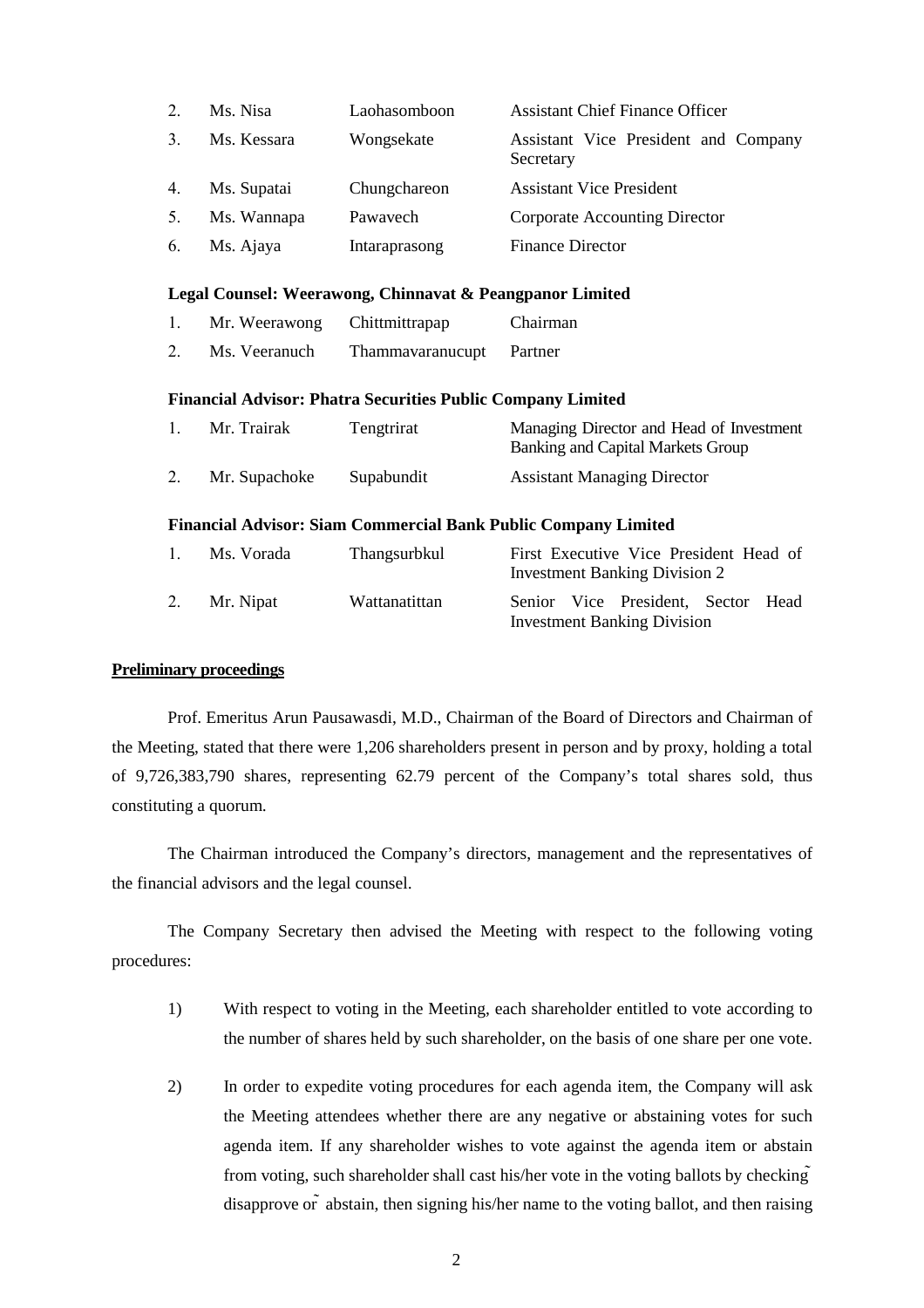|    | Ms. Nisa    | Laohasomboon  | <b>Assistant Chief Finance Officer</b>            |
|----|-------------|---------------|---------------------------------------------------|
| 3  | Ms. Kessara | Wongsekate    | Assistant Vice President and Company<br>Secretary |
| 4. | Ms. Supatai | Chungchareon  | <b>Assistant Vice President</b>                   |
|    | Ms. Wannapa | Pawavech      | Corporate Accounting Director                     |
| 6. | Ms. Ajaya   | Intaraprasong | <b>Finance Director</b>                           |

#### **Legal Counsel: Weerawong, Chinnavat & Peangpanor Limited**

| Mr. Weerawong | Chittmittrapap | Chairman |
|---------------|----------------|----------|
|               |                |          |

2. Ms. Veeranuch Thammavaranucupt Partner

## **Financial Advisor: Phatra Securities Public Company Limited**

| Mr. Trairak   | Tengtrirat | Managing Director and Head of Investment<br>Banking and Capital Markets Group |
|---------------|------------|-------------------------------------------------------------------------------|
| Mr. Supachoke | Supabundit | <b>Assistant Managing Director</b>                                            |

## **Financial Advisor: Siam Commercial Bank Public Company Limited**

| $\mathbf{1}$ | Ms. Vorada | <b>Thangsurbkul</b> |  | First Executive Vice President Head of<br><b>Investment Banking Division 2</b> |  |
|--------------|------------|---------------------|--|--------------------------------------------------------------------------------|--|
| 2.           | Mr. Nipat  | Wattanatittan       |  | Senior Vice President, Sector Head<br><b>Investment Banking Division</b>       |  |

# **Preliminary proceedings**

Prof. Emeritus Arun Pausawasdi, M.D., Chairman of the Board of Directors and Chairman of the Meeting, stated that there were 1,206 shareholders present in person and by proxy, holding a total of 9,726,383,790 shares, representing 62.79 percent of the Company's total shares sold, thus constituting a quorum.

The Chairman introduced the Company's directors, management and the representatives of the financial advisors and the legal counsel.

The Company Secretary then advised the Meeting with respect to the following voting procedures:

- 1) With respect to voting in the Meeting, each shareholder entitled to vote according to the number of shares held by such shareholder, on the basis of one share per one vote.
- 2) In order to expedite voting procedures for each agenda item, the Company will ask the Meeting attendees whether there are any negative or abstaining votes for such agenda item. If any shareholder wishes to vote against the agenda item or abstain from voting, such shareholder shall cast his/her vote in the voting ballots by checking disapprove  $\sigma$  abstain, then signing his/her name to the voting ballot, and then raising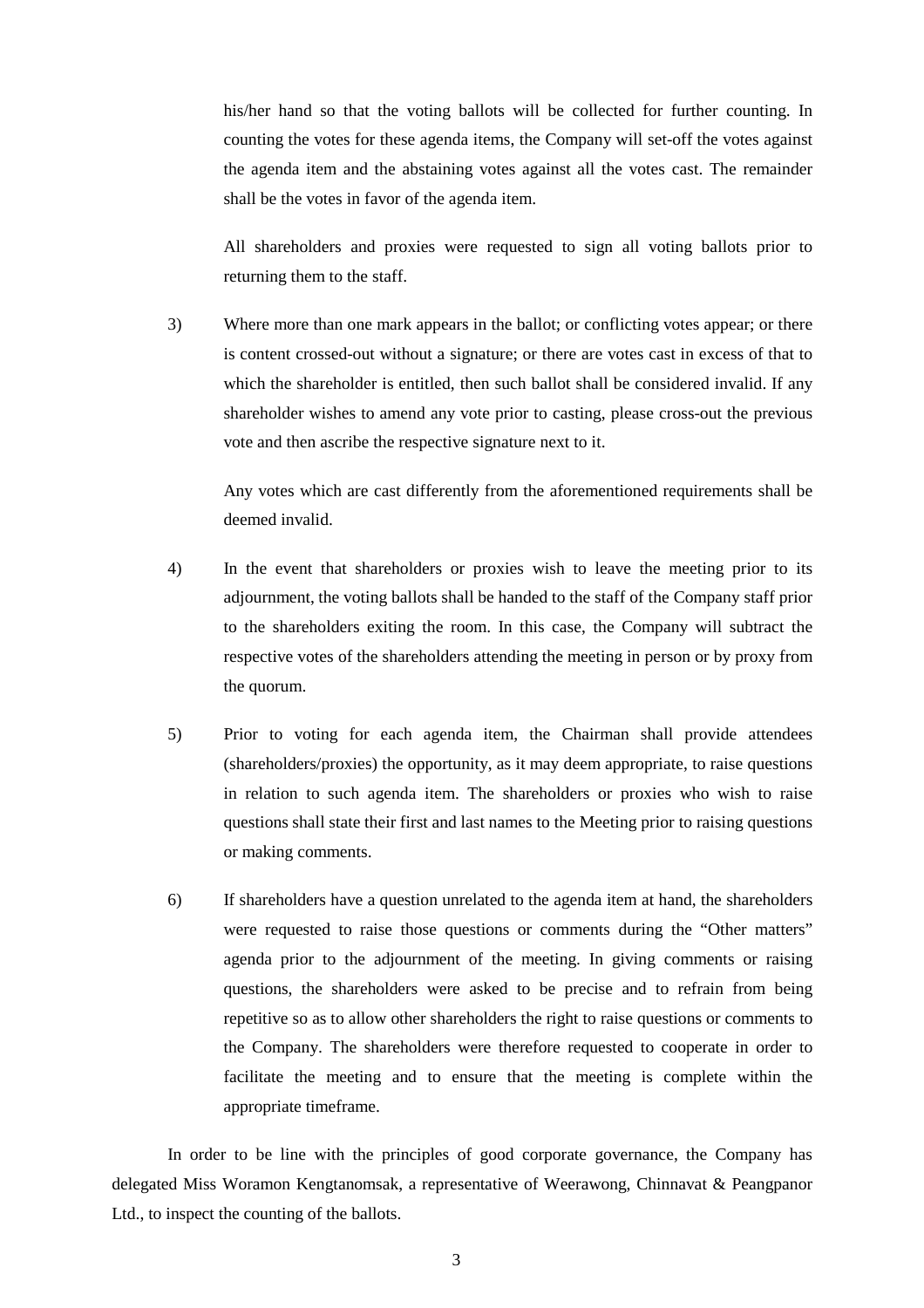his/her hand so that the voting ballots will be collected for further counting. In counting the votes for these agenda items, the Company will set-off the votes against the agenda item and the abstaining votes against all the votes cast. The remainder shall be the votes in favor of the agenda item.

 All shareholders and proxies were requested to sign all voting ballots prior to returning them to the staff.

3) Where more than one mark appears in the ballot; or conflicting votes appear; or there is content crossed-out without a signature; or there are votes cast in excess of that to which the shareholder is entitled, then such ballot shall be considered invalid. If any shareholder wishes to amend any vote prior to casting, please cross-out the previous vote and then ascribe the respective signature next to it.

Any votes which are cast differently from the aforementioned requirements shall be deemed invalid.

- 4) In the event that shareholders or proxies wish to leave the meeting prior to its adjournment, the voting ballots shall be handed to the staff of the Company staff prior to the shareholders exiting the room. In this case, the Company will subtract the respective votes of the shareholders attending the meeting in person or by proxy from the quorum.
- 5) Prior to voting for each agenda item, the Chairman shall provide attendees (shareholders/proxies) the opportunity, as it may deem appropriate, to raise questions in relation to such agenda item. The shareholders or proxies who wish to raise questions shall state their first and last names to the Meeting prior to raising questions or making comments.
- 6) If shareholders have a question unrelated to the agenda item at hand, the shareholders were requested to raise those questions or comments during the "Other matters" agenda prior to the adjournment of the meeting. In giving comments or raising questions, the shareholders were asked to be precise and to refrain from being repetitive so as to allow other shareholders the right to raise questions or comments to the Company. The shareholders were therefore requested to cooperate in order to facilitate the meeting and to ensure that the meeting is complete within the appropriate timeframe.

In order to be line with the principles of good corporate governance, the Company has delegated Miss Woramon Kengtanomsak, a representative of Weerawong, Chinnavat & Peangpanor Ltd., to inspect the counting of the ballots.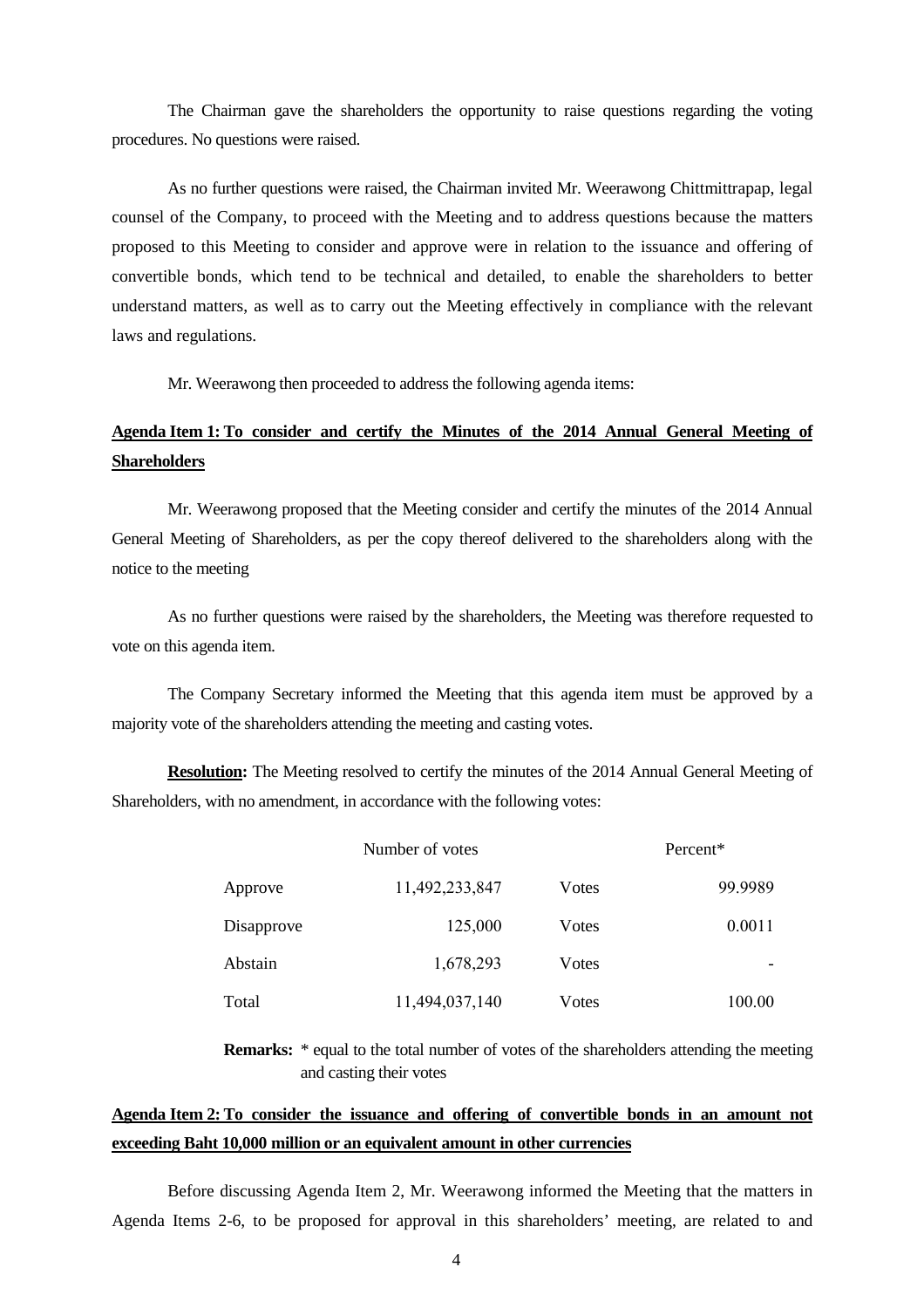The Chairman gave the shareholders the opportunity to raise questions regarding the voting procedures. No questions were raised.

As no further questions were raised, the Chairman invited Mr. Weerawong Chittmittrapap, legal counsel of the Company, to proceed with the Meeting and to address questions because the matters proposed to this Meeting to consider and approve were in relation to the issuance and offering of convertible bonds, which tend to be technical and detailed, to enable the shareholders to better understand matters, as well as to carry out the Meeting effectively in compliance with the relevant laws and regulations.

Mr. Weerawong then proceeded to address the following agenda items:

# **Agenda Item 1: To consider and certify the Minutes of the 2014 Annual General Meeting of Shareholders**

Mr. Weerawong proposed that the Meeting consider and certify the minutes of the 2014 Annual General Meeting of Shareholders, as per the copy thereof delivered to the shareholders along with the notice to the meeting

As no further questions were raised by the shareholders, the Meeting was therefore requested to vote on this agenda item.

The Company Secretary informed the Meeting that this agenda item must be approved by a majority vote of the shareholders attending the meeting and casting votes.

**Resolution:** The Meeting resolved to certify the minutes of the 2014 Annual General Meeting of Shareholders, with no amendment, in accordance with the following votes:

|            | Number of votes |       | Percent* |  |  |
|------------|-----------------|-------|----------|--|--|
| Approve    | 11,492,233,847  | Votes | 99.9989  |  |  |
| Disapprove | 125,000         | Votes | 0.0011   |  |  |
| Abstain    | 1,678,293       | Votes |          |  |  |
| Total      | 11,494,037,140  | Votes | 100.00   |  |  |

**Remarks:** \* equal to the total number of votes of the shareholders attending the meeting and casting their votes

# **Agenda Item 2: To consider the issuance and offering of convertible bonds in an amount not exceeding Baht 10,000 million or an equivalent amount in other currencies**

Before discussing Agenda Item 2, Mr. Weerawong informed the Meeting that the matters in Agenda Items 2-6, to be proposed for approval in this shareholders' meeting, are related to and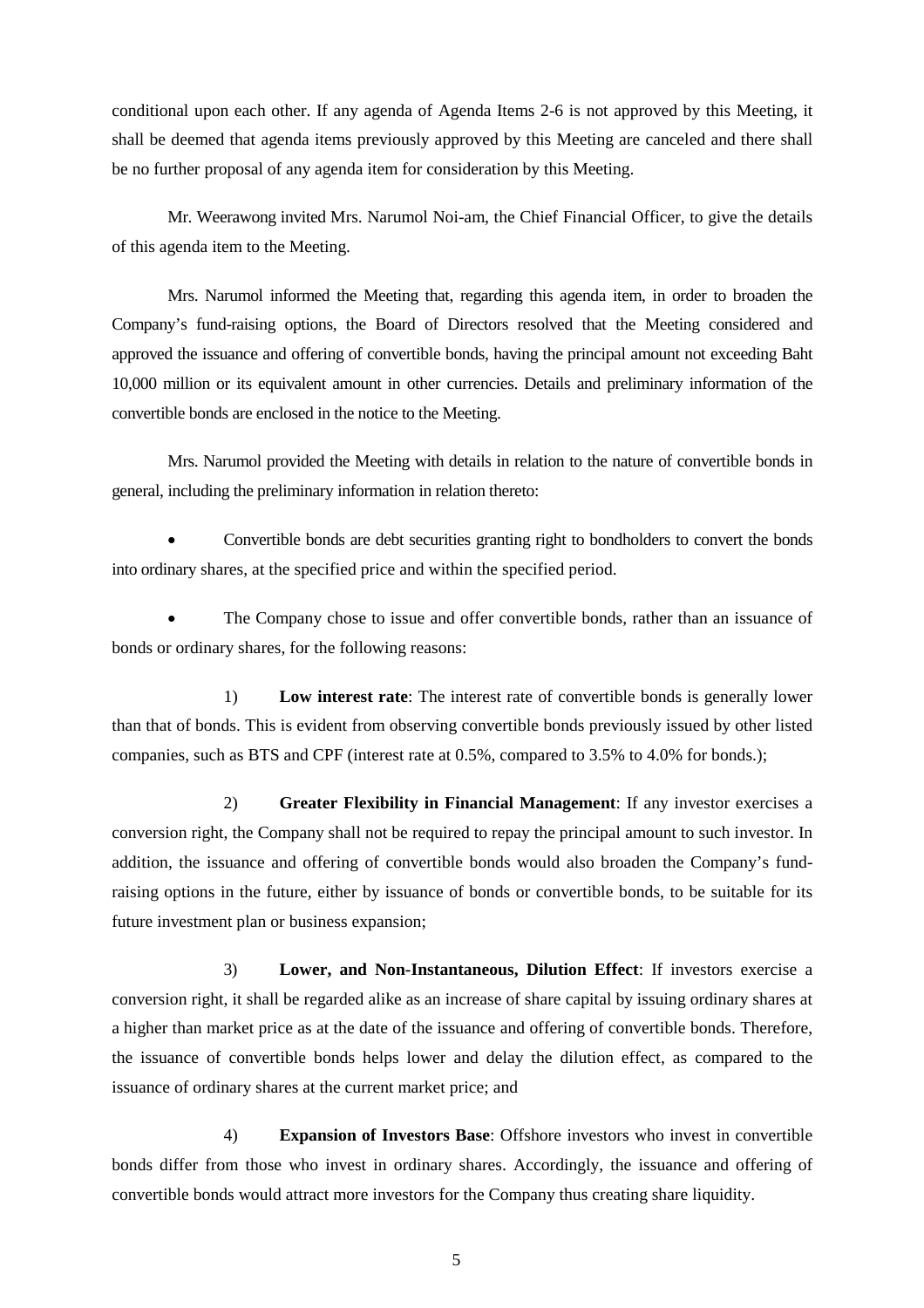conditional upon each other. If any agenda of Agenda Items 2-6 is not approved by this Meeting, it shall be deemed that agenda items previously approved by this Meeting are canceled and there shall be no further proposal of any agenda item for consideration by this Meeting.

Mr. Weerawong invited Mrs. Narumol Noi-am, the Chief Financial Officer, to give the details of this agenda item to the Meeting.

Mrs. Narumol informed the Meeting that, regarding this agenda item, in order to broaden the Company's fund-raising options, the Board of Directors resolved that the Meeting considered and approved the issuance and offering of convertible bonds, having the principal amount not exceeding Baht 10,000 million or its equivalent amount in other currencies. Details and preliminary information of the convertible bonds are enclosed in the notice to the Meeting.

Mrs. Narumol provided the Meeting with details in relation to the nature of convertible bonds in general, including the preliminary information in relation thereto:

• Convertible bonds are debt securities granting right to bondholders to convert the bonds into ordinary shares, at the specified price and within the specified period.

The Company chose to issue and offer convertible bonds, rather than an issuance of bonds or ordinary shares, for the following reasons:

1) **Low interest rate**: The interest rate of convertible bonds is generally lower than that of bonds. This is evident from observing convertible bonds previously issued by other listed companies, such as BTS and CPF (interest rate at 0.5%, compared to 3.5% to 4.0% for bonds.);

2) **Greater Flexibility in Financial Management**: If any investor exercises a conversion right, the Company shall not be required to repay the principal amount to such investor. In addition, the issuance and offering of convertible bonds would also broaden the Company's fundraising options in the future, either by issuance of bonds or convertible bonds, to be suitable for its future investment plan or business expansion;

3) **Lower, and Non-Instantaneous, Dilution Effect**: If investors exercise a conversion right, it shall be regarded alike as an increase of share capital by issuing ordinary shares at a higher than market price as at the date of the issuance and offering of convertible bonds. Therefore, the issuance of convertible bonds helps lower and delay the dilution effect, as compared to the issuance of ordinary shares at the current market price; and

4) **Expansion of Investors Base**: Offshore investors who invest in convertible bonds differ from those who invest in ordinary shares. Accordingly, the issuance and offering of convertible bonds would attract more investors for the Company thus creating share liquidity.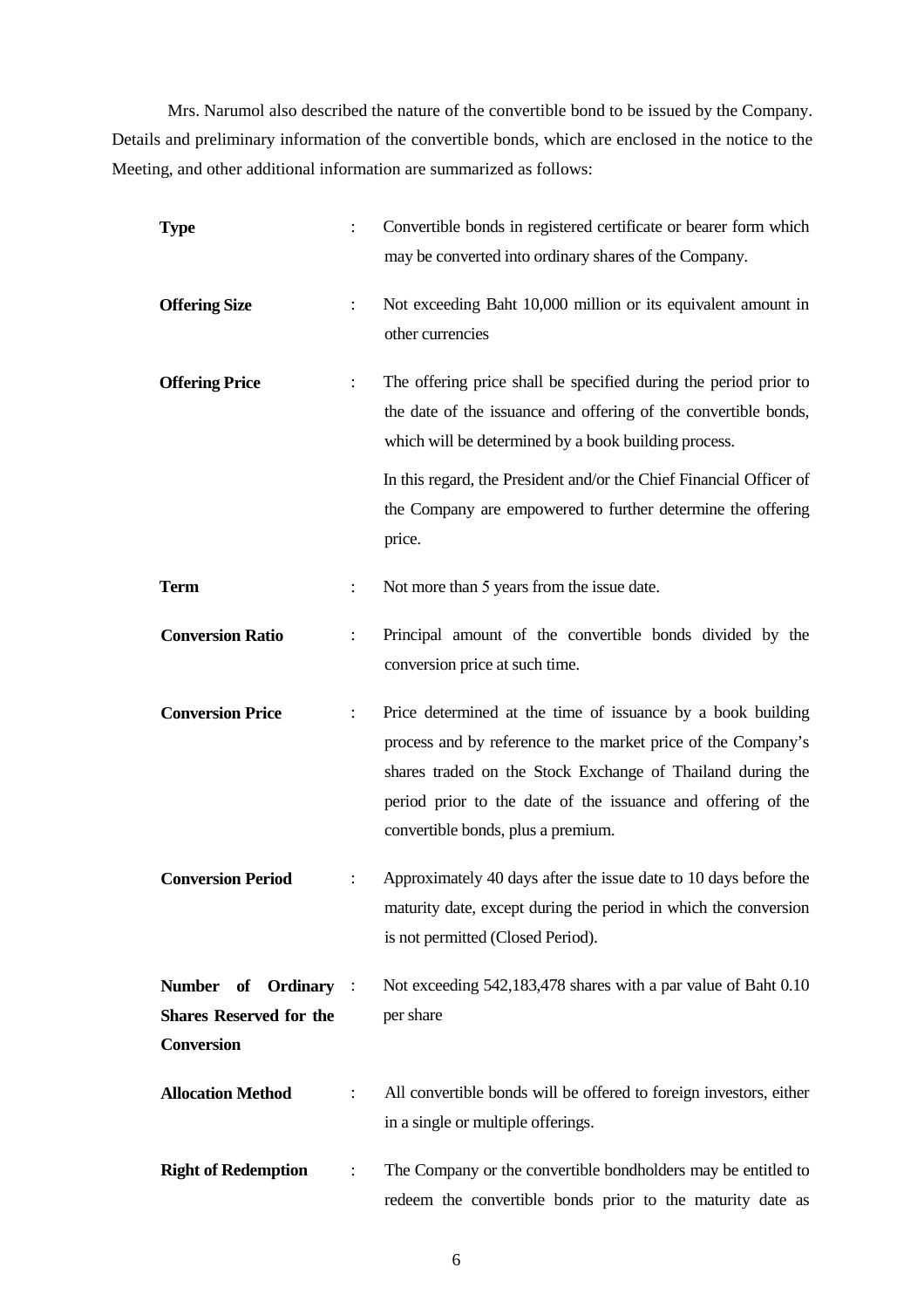Mrs. Narumol also described the nature of the convertible bond to be issued by the Company. Details and preliminary information of the convertible bonds, which are enclosed in the notice to the Meeting, and other additional information are summarized as follows:

| <b>Type</b>                                                                 |                      | Convertible bonds in registered certificate or bearer form which<br>may be converted into ordinary shares of the Company.                                                                                                                                                                        |
|-----------------------------------------------------------------------------|----------------------|--------------------------------------------------------------------------------------------------------------------------------------------------------------------------------------------------------------------------------------------------------------------------------------------------|
| <b>Offering Size</b>                                                        | $\ddot{\phantom{0}}$ | Not exceeding Baht 10,000 million or its equivalent amount in<br>other currencies                                                                                                                                                                                                                |
| <b>Offering Price</b>                                                       | $\ddot{\cdot}$       | The offering price shall be specified during the period prior to<br>the date of the issuance and offering of the convertible bonds,<br>which will be determined by a book building process.                                                                                                      |
|                                                                             |                      | In this regard, the President and/or the Chief Financial Officer of<br>the Company are empowered to further determine the offering<br>price.                                                                                                                                                     |
| <b>Term</b>                                                                 | $\ddot{\cdot}$       | Not more than 5 years from the issue date.                                                                                                                                                                                                                                                       |
| <b>Conversion Ratio</b>                                                     | $\ddot{\cdot}$       | Principal amount of the convertible bonds divided by the<br>conversion price at such time.                                                                                                                                                                                                       |
| <b>Conversion Price</b>                                                     | $\ddot{\cdot}$       | Price determined at the time of issuance by a book building<br>process and by reference to the market price of the Company's<br>shares traded on the Stock Exchange of Thailand during the<br>period prior to the date of the issuance and offering of the<br>convertible bonds, plus a premium. |
| <b>Conversion Period</b>                                                    |                      | Approximately 40 days after the issue date to 10 days before the<br>maturity date, except during the period in which the conversion<br>is not permitted (Closed Period).                                                                                                                         |
| Number of Ordinary :<br><b>Shares Reserved for the</b><br><b>Conversion</b> |                      | Not exceeding 542,183,478 shares with a par value of Baht 0.10<br>per share                                                                                                                                                                                                                      |
| <b>Allocation Method</b>                                                    |                      | All convertible bonds will be offered to foreign investors, either<br>in a single or multiple offerings.                                                                                                                                                                                         |
| <b>Right of Redemption</b>                                                  | $\ddot{\cdot}$       | The Company or the convertible bondholders may be entitled to<br>redeem the convertible bonds prior to the maturity date as                                                                                                                                                                      |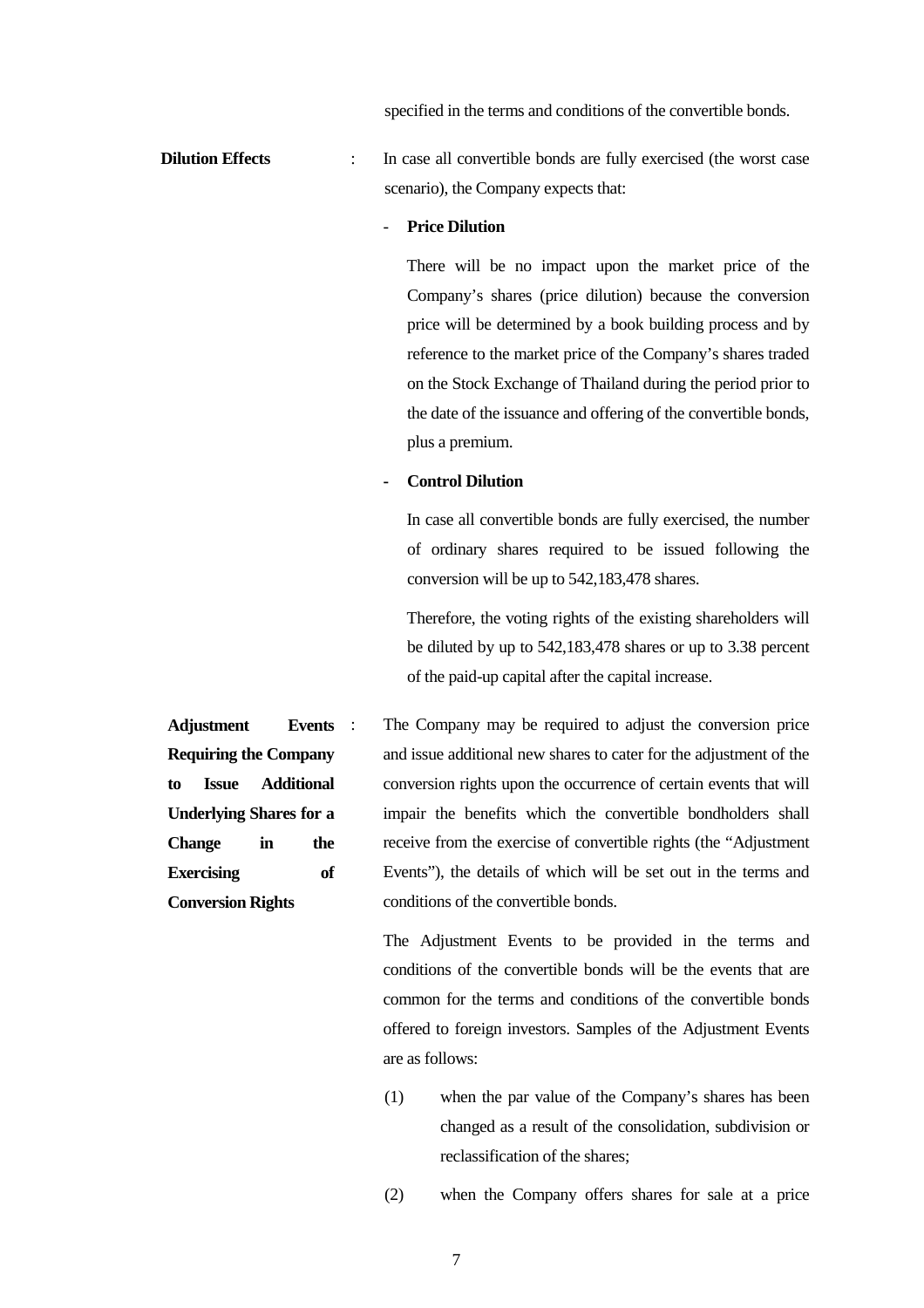specified in the terms and conditions of the convertible bonds.

**Dilution Effects** : In case all convertible bonds are fully exercised (the worst case scenario), the Company expects that:

#### **Price Dilution**

There will be no impact upon the market price of the Company's shares (price dilution) because the conversion price will be determined by a book building process and by reference to the market price of the Company's shares traded on the Stock Exchange of Thailand during the period prior to the date of the issuance and offering of the convertible bonds, plus a premium.

#### **- Control Dilution**

In case all convertible bonds are fully exercised, the number of ordinary shares required to be issued following the conversion will be up to 542,183,478 shares.

Therefore, the voting rights of the existing shareholders will be diluted by up to 542,183,478 shares or up to 3.38 percent of the paid-up capital after the capital increase.

**Adjustment Events Requiring the Company to Issue Additional Underlying Shares for a Change in the Exercising of Conversion Rights**  : The Company may be required to adjust the conversion price and issue additional new shares to cater for the adjustment of the conversion rights upon the occurrence of certain events that will impair the benefits which the convertible bondholders shall receive from the exercise of convertible rights (the "Adjustment Events"), the details of which will be set out in the terms and conditions of the convertible bonds.

> The Adjustment Events to be provided in the terms and conditions of the convertible bonds will be the events that are common for the terms and conditions of the convertible bonds offered to foreign investors. Samples of the Adjustment Events are as follows:

- (1) when the par value of the Company's shares has been changed as a result of the consolidation, subdivision or reclassification of the shares;
- (2) when the Company offers shares for sale at a price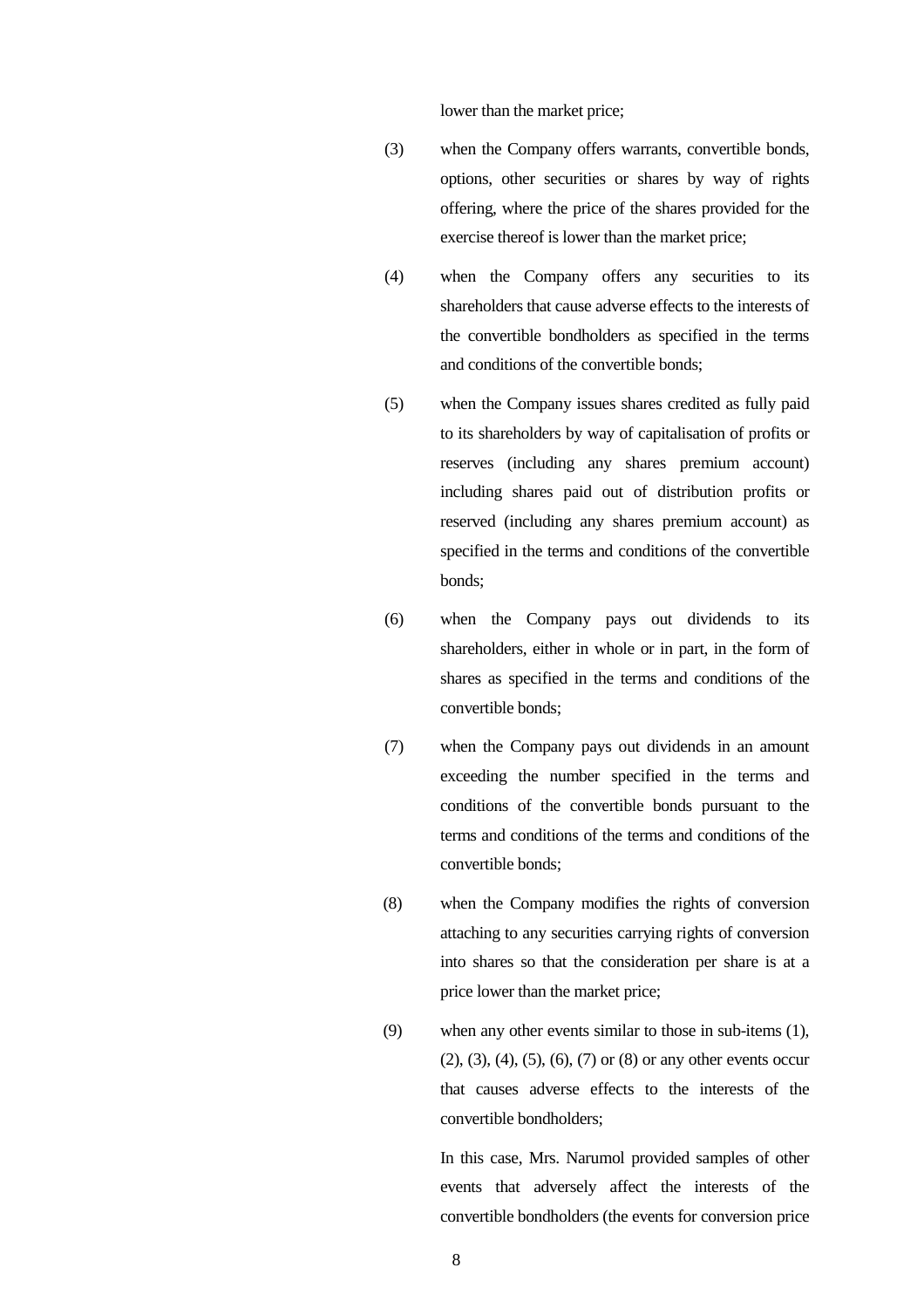lower than the market price;

- (3) when the Company offers warrants, convertible bonds, options, other securities or shares by way of rights offering, where the price of the shares provided for the exercise thereof is lower than the market price;
- (4) when the Company offers any securities to its shareholders that cause adverse effects to the interests of the convertible bondholders as specified in the terms and conditions of the convertible bonds;
- (5) when the Company issues shares credited as fully paid to its shareholders by way of capitalisation of profits or reserves (including any shares premium account) including shares paid out of distribution profits or reserved (including any shares premium account) as specified in the terms and conditions of the convertible bonds;
- (6) when the Company pays out dividends to its shareholders, either in whole or in part, in the form of shares as specified in the terms and conditions of the convertible bonds;
- (7) when the Company pays out dividends in an amount exceeding the number specified in the terms and conditions of the convertible bonds pursuant to the terms and conditions of the terms and conditions of the convertible bonds;
- (8) when the Company modifies the rights of conversion attaching to any securities carrying rights of conversion into shares so that the consideration per share is at a price lower than the market price;
- (9) when any other events similar to those in sub-items (1), (2), (3), (4), (5), (6), (7) or (8) or any other events occur that causes adverse effects to the interests of the convertible bondholders;

In this case, Mrs. Narumol provided samples of other events that adversely affect the interests of the convertible bondholders (the events for conversion price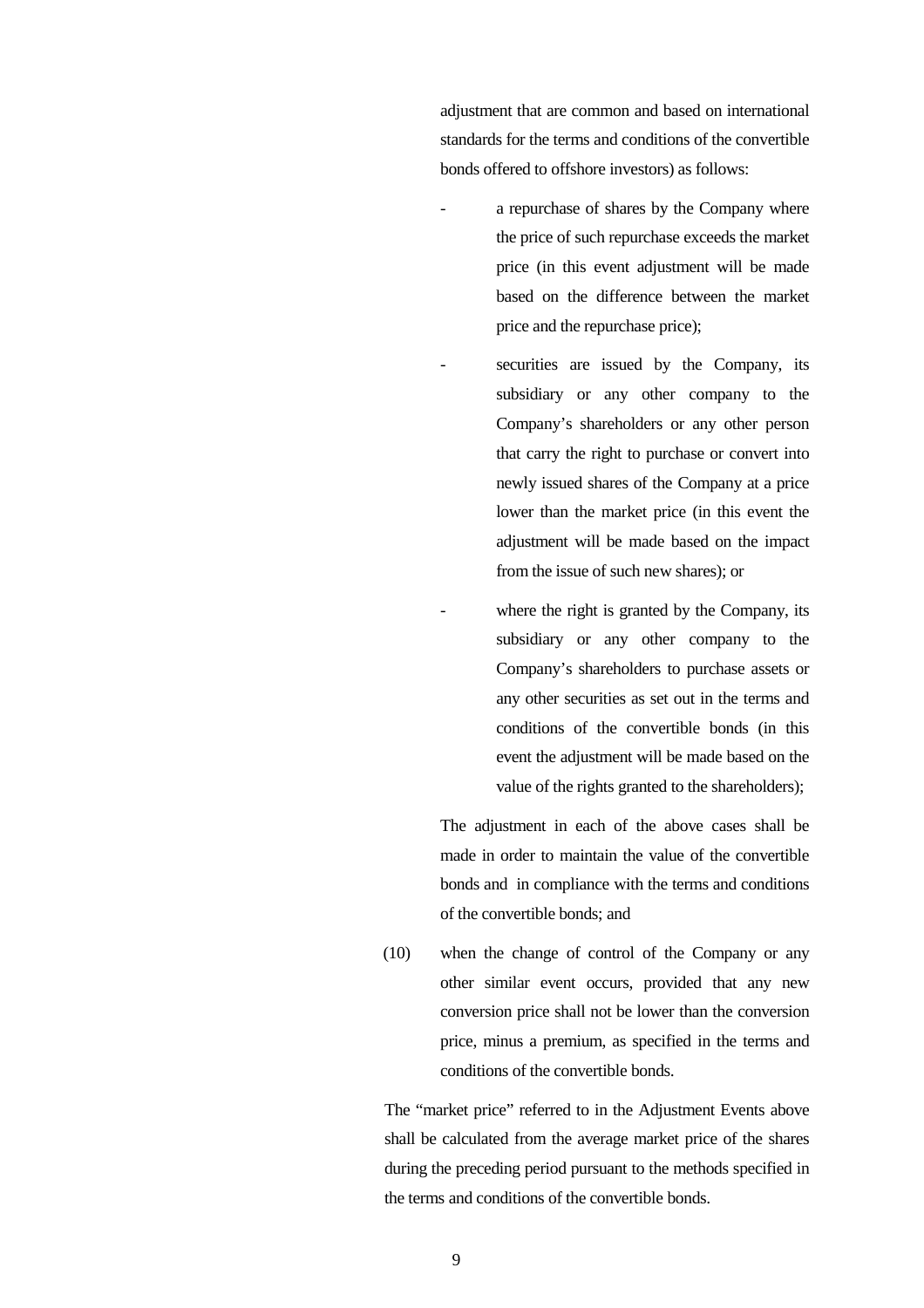adjustment that are common and based on international standards for the terms and conditions of the convertible bonds offered to offshore investors) as follows:

- a repurchase of shares by the Company where the price of such repurchase exceeds the market price (in this event adjustment will be made based on the difference between the market price and the repurchase price);
	- securities are issued by the Company, its subsidiary or any other company to the Company's shareholders or any other person that carry the right to purchase or convert into newly issued shares of the Company at a price lower than the market price (in this event the adjustment will be made based on the impact from the issue of such new shares); or
- where the right is granted by the Company, its subsidiary or any other company to the Company's shareholders to purchase assets or any other securities as set out in the terms and conditions of the convertible bonds (in this event the adjustment will be made based on the value of the rights granted to the shareholders);

The adjustment in each of the above cases shall be made in order to maintain the value of the convertible bonds and in compliance with the terms and conditions of the convertible bonds; and

(10) when the change of control of the Company or any other similar event occurs, provided that any new conversion price shall not be lower than the conversion price, minus a premium, as specified in the terms and conditions of the convertible bonds.

The "market price" referred to in the Adjustment Events above shall be calculated from the average market price of the shares during the preceding period pursuant to the methods specified in the terms and conditions of the convertible bonds.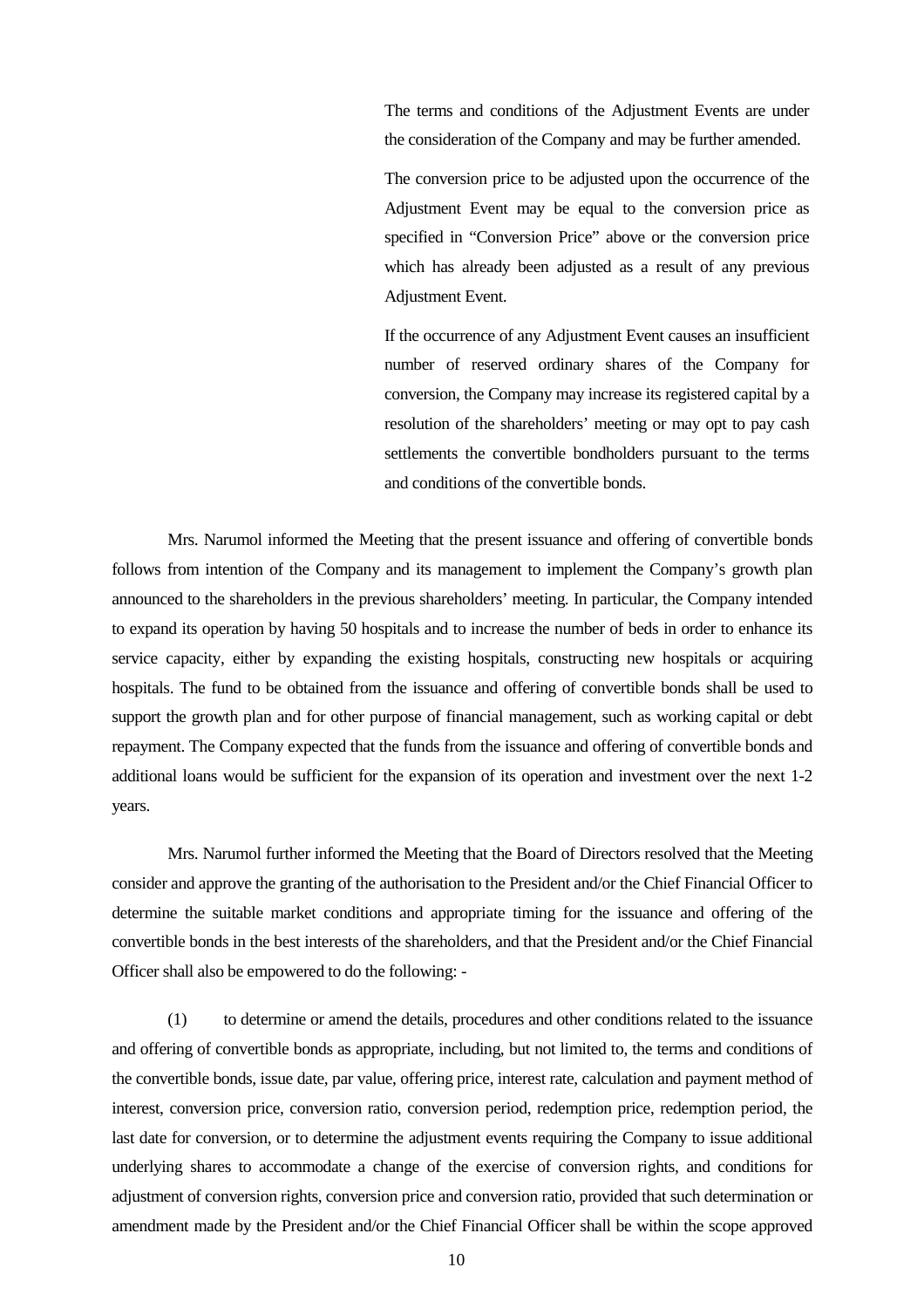The terms and conditions of the Adjustment Events are under the consideration of the Company and may be further amended.

The conversion price to be adjusted upon the occurrence of the Adjustment Event may be equal to the conversion price as specified in "Conversion Price" above or the conversion price which has already been adjusted as a result of any previous Adjustment Event.

If the occurrence of any Adjustment Event causes an insufficient number of reserved ordinary shares of the Company for conversion, the Company may increase its registered capital by a resolution of the shareholders' meeting or may opt to pay cash settlements the convertible bondholders pursuant to the terms and conditions of the convertible bonds.

Mrs. Narumol informed the Meeting that the present issuance and offering of convertible bonds follows from intention of the Company and its management to implement the Company's growth plan announced to the shareholders in the previous shareholders' meeting. In particular, the Company intended to expand its operation by having 50 hospitals and to increase the number of beds in order to enhance its service capacity, either by expanding the existing hospitals, constructing new hospitals or acquiring hospitals. The fund to be obtained from the issuance and offering of convertible bonds shall be used to support the growth plan and for other purpose of financial management, such as working capital or debt repayment. The Company expected that the funds from the issuance and offering of convertible bonds and additional loans would be sufficient for the expansion of its operation and investment over the next 1-2 years.

Mrs. Narumol further informed the Meeting that the Board of Directors resolved that the Meeting consider and approve the granting of the authorisation to the President and/or the Chief Financial Officer to determine the suitable market conditions and appropriate timing for the issuance and offering of the convertible bonds in the best interests of the shareholders, and that the President and/or the Chief Financial Officer shall also be empowered to do the following: -

(1) to determine or amend the details, procedures and other conditions related to the issuance and offering of convertible bonds as appropriate, including, but not limited to, the terms and conditions of the convertible bonds, issue date, par value, offering price, interest rate, calculation and payment method of interest, conversion price, conversion ratio, conversion period, redemption price, redemption period, the last date for conversion, or to determine the adjustment events requiring the Company to issue additional underlying shares to accommodate a change of the exercise of conversion rights, and conditions for adjustment of conversion rights, conversion price and conversion ratio, provided that such determination or amendment made by the President and/or the Chief Financial Officer shall be within the scope approved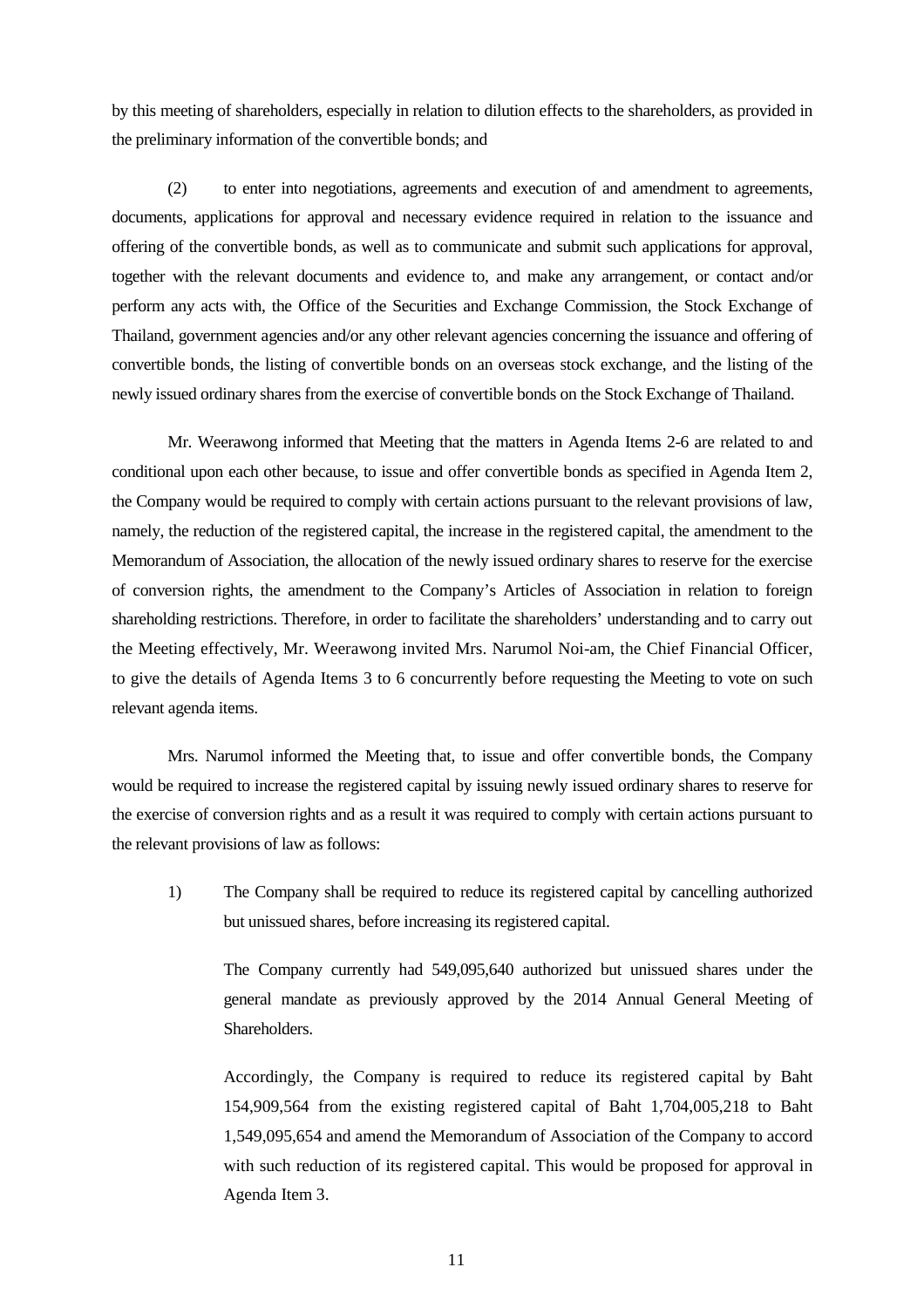by this meeting of shareholders, especially in relation to dilution effects to the shareholders, as provided in the preliminary information of the convertible bonds; and

(2) to enter into negotiations, agreements and execution of and amendment to agreements, documents, applications for approval and necessary evidence required in relation to the issuance and offering of the convertible bonds, as well as to communicate and submit such applications for approval, together with the relevant documents and evidence to, and make any arrangement, or contact and/or perform any acts with, the Office of the Securities and Exchange Commission, the Stock Exchange of Thailand, government agencies and/or any other relevant agencies concerning the issuance and offering of convertible bonds, the listing of convertible bonds on an overseas stock exchange, and the listing of the newly issued ordinary shares from the exercise of convertible bonds on the Stock Exchange of Thailand.

Mr. Weerawong informed that Meeting that the matters in Agenda Items 2-6 are related to and conditional upon each other because, to issue and offer convertible bonds as specified in Agenda Item 2, the Company would be required to comply with certain actions pursuant to the relevant provisions of law, namely, the reduction of the registered capital, the increase in the registered capital, the amendment to the Memorandum of Association, the allocation of the newly issued ordinary shares to reserve for the exercise of conversion rights, the amendment to the Company's Articles of Association in relation to foreign shareholding restrictions. Therefore, in order to facilitate the shareholders' understanding and to carry out the Meeting effectively, Mr. Weerawong invited Mrs. Narumol Noi-am, the Chief Financial Officer, to give the details of Agenda Items 3 to 6 concurrently before requesting the Meeting to vote on such relevant agenda items.

Mrs. Narumol informed the Meeting that, to issue and offer convertible bonds, the Company would be required to increase the registered capital by issuing newly issued ordinary shares to reserve for the exercise of conversion rights and as a result it was required to comply with certain actions pursuant to the relevant provisions of law as follows:

1) The Company shall be required to reduce its registered capital by cancelling authorized but unissued shares, before increasing its registered capital.

The Company currently had 549,095,640 authorized but unissued shares under the general mandate as previously approved by the 2014 Annual General Meeting of Shareholders.

Accordingly, the Company is required to reduce its registered capital by Baht 154,909,564 from the existing registered capital of Baht 1,704,005,218 to Baht 1,549,095,654 and amend the Memorandum of Association of the Company to accord with such reduction of its registered capital. This would be proposed for approval in Agenda Item 3.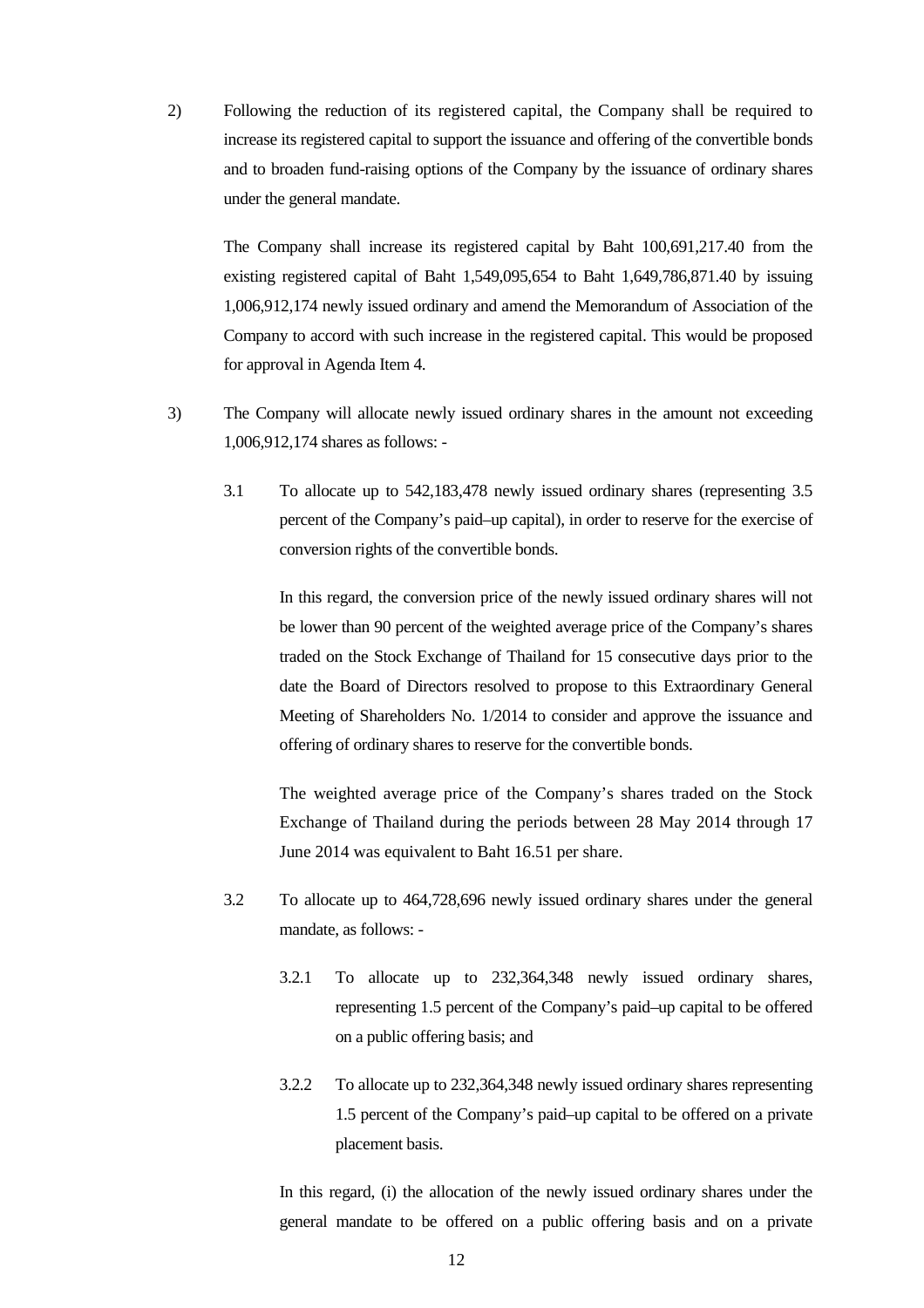2) Following the reduction of its registered capital, the Company shall be required to increase its registered capital to support the issuance and offering of the convertible bonds and to broaden fund-raising options of the Company by the issuance of ordinary shares under the general mandate.

The Company shall increase its registered capital by Baht 100,691,217.40 from the existing registered capital of Baht 1,549,095,654 to Baht 1,649,786,871.40 by issuing 1,006,912,174 newly issued ordinary and amend the Memorandum of Association of the Company to accord with such increase in the registered capital. This would be proposed for approval in Agenda Item 4.

- 3) The Company will allocate newly issued ordinary shares in the amount not exceeding 1,006,912,174 shares as follows: -
	- 3.1 To allocate up to 542,183,478 newly issued ordinary shares (representing 3.5 percent of the Company's paid–up capital), in order to reserve for the exercise of conversion rights of the convertible bonds.

In this regard, the conversion price of the newly issued ordinary shares will not be lower than 90 percent of the weighted average price of the Company's shares traded on the Stock Exchange of Thailand for 15 consecutive days prior to the date the Board of Directors resolved to propose to this Extraordinary General Meeting of Shareholders No. 1/2014 to consider and approve the issuance and offering of ordinary shares to reserve for the convertible bonds.

The weighted average price of the Company's shares traded on the Stock Exchange of Thailand during the periods between 28 May 2014 through 17 June 2014 was equivalent to Baht 16.51 per share.

- 3.2 To allocate up to 464,728,696 newly issued ordinary shares under the general mandate, as follows: -
	- 3.2.1 To allocate up to 232,364,348 newly issued ordinary shares, representing 1.5 percent of the Company's paid–up capital to be offered on a public offering basis; and
	- 3.2.2 To allocate up to 232,364,348 newly issued ordinary shares representing 1.5 percent of the Company's paid–up capital to be offered on a private placement basis.

In this regard, (i) the allocation of the newly issued ordinary shares under the general mandate to be offered on a public offering basis and on a private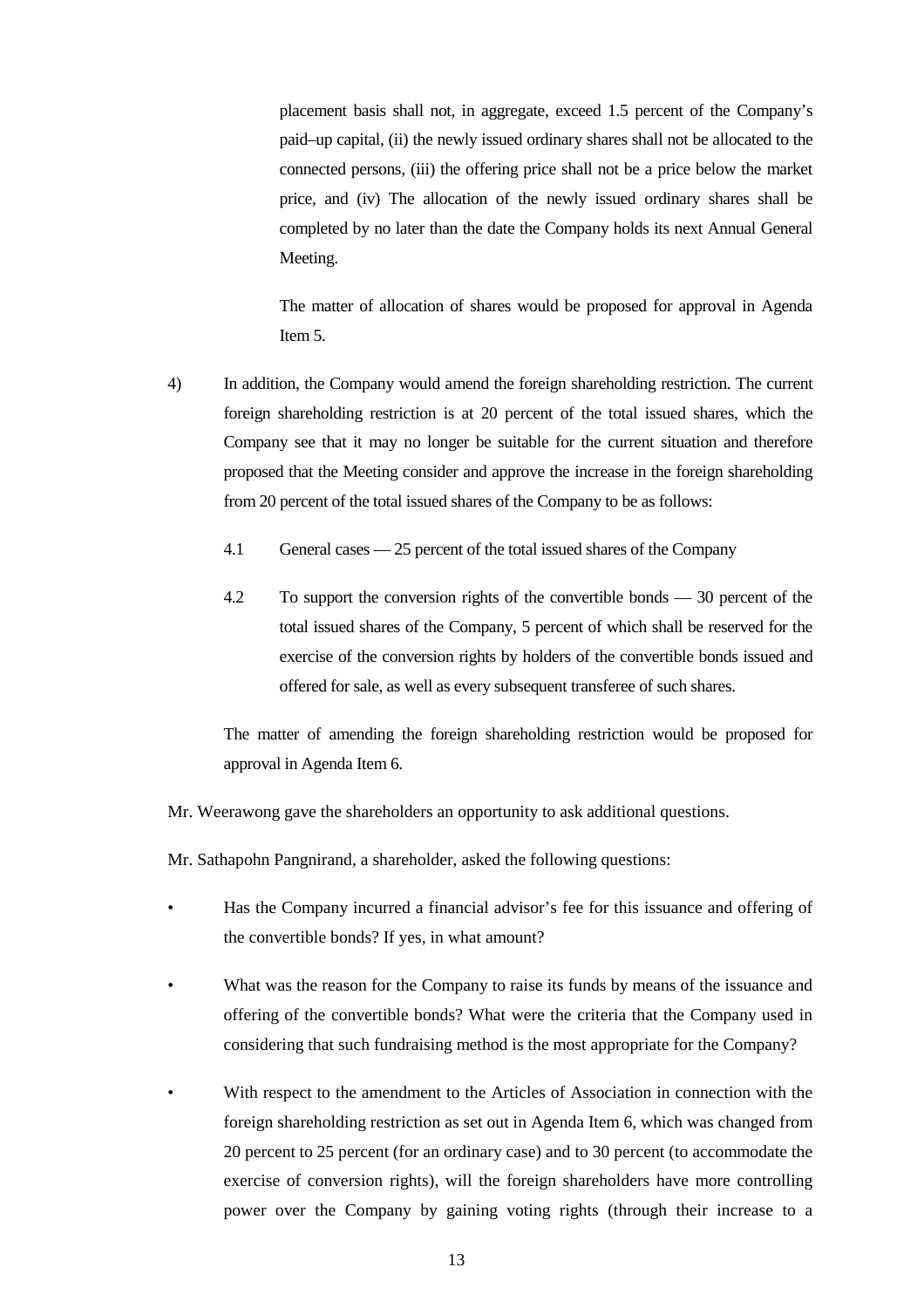placement basis shall not, in aggregate, exceed 1.5 percent of the Company's paid–up capital, (ii) the newly issued ordinary shares shall not be allocated to the connected persons, (iii) the offering price shall not be a price below the market price, and (iv) The allocation of the newly issued ordinary shares shall be completed by no later than the date the Company holds its next Annual General Meeting.

The matter of allocation of shares would be proposed for approval in Agenda Item 5.

- 4) In addition, the Company would amend the foreign shareholding restriction. The current foreign shareholding restriction is at 20 percent of the total issued shares, which the Company see that it may no longer be suitable for the current situation and therefore proposed that the Meeting consider and approve the increase in the foreign shareholding from 20 percent of the total issued shares of the Company to be as follows:
	- 4.1 General cases 25 percent of the total issued shares of the Company
	- 4.2 To support the conversion rights of the convertible bonds 30 percent of the total issued shares of the Company, 5 percent of which shall be reserved for the exercise of the conversion rights by holders of the convertible bonds issued and offered for sale, as well as every subsequent transferee of such shares.

The matter of amending the foreign shareholding restriction would be proposed for approval in Agenda Item 6.

- Mr. Weerawong gave the shareholders an opportunity to ask additional questions.
- Mr. Sathapohn Pangnirand, a shareholder, asked the following questions:
- Has the Company incurred a financial advisor's fee for this issuance and offering of the convertible bonds? If yes, in what amount?
- What was the reason for the Company to raise its funds by means of the issuance and offering of the convertible bonds? What were the criteria that the Company used in considering that such fundraising method is the most appropriate for the Company?
- With respect to the amendment to the Articles of Association in connection with the foreign shareholding restriction as set out in Agenda Item 6, which was changed from 20 percent to 25 percent (for an ordinary case) and to 30 percent (to accommodate the exercise of conversion rights), will the foreign shareholders have more controlling power over the Company by gaining voting rights (through their increase to a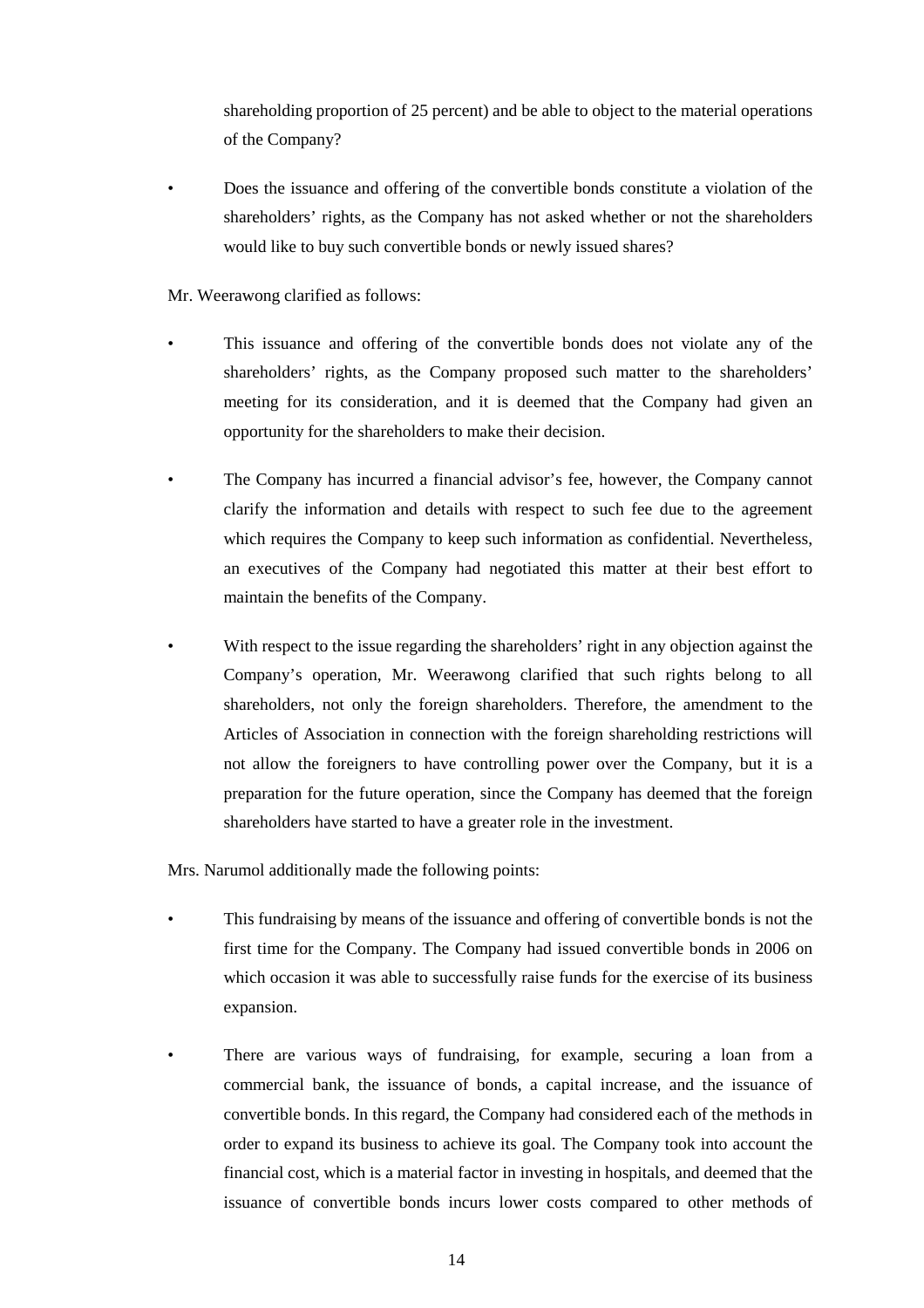shareholding proportion of 25 percent) and be able to object to the material operations of the Company?

• Does the issuance and offering of the convertible bonds constitute a violation of the shareholders' rights, as the Company has not asked whether or not the shareholders would like to buy such convertible bonds or newly issued shares?

Mr. Weerawong clarified as follows:

- This issuance and offering of the convertible bonds does not violate any of the shareholders' rights, as the Company proposed such matter to the shareholders' meeting for its consideration, and it is deemed that the Company had given an opportunity for the shareholders to make their decision.
- The Company has incurred a financial advisor's fee, however, the Company cannot clarify the information and details with respect to such fee due to the agreement which requires the Company to keep such information as confidential. Nevertheless, an executives of the Company had negotiated this matter at their best effort to maintain the benefits of the Company.
- With respect to the issue regarding the shareholders' right in any objection against the Company's operation, Mr. Weerawong clarified that such rights belong to all shareholders, not only the foreign shareholders. Therefore, the amendment to the Articles of Association in connection with the foreign shareholding restrictions will not allow the foreigners to have controlling power over the Company, but it is a preparation for the future operation, since the Company has deemed that the foreign shareholders have started to have a greater role in the investment.

Mrs. Narumol additionally made the following points:

- This fundraising by means of the issuance and offering of convertible bonds is not the first time for the Company. The Company had issued convertible bonds in 2006 on which occasion it was able to successfully raise funds for the exercise of its business expansion.
- There are various ways of fundraising, for example, securing a loan from a commercial bank, the issuance of bonds, a capital increase, and the issuance of convertible bonds. In this regard, the Company had considered each of the methods in order to expand its business to achieve its goal. The Company took into account the financial cost, which is a material factor in investing in hospitals, and deemed that the issuance of convertible bonds incurs lower costs compared to other methods of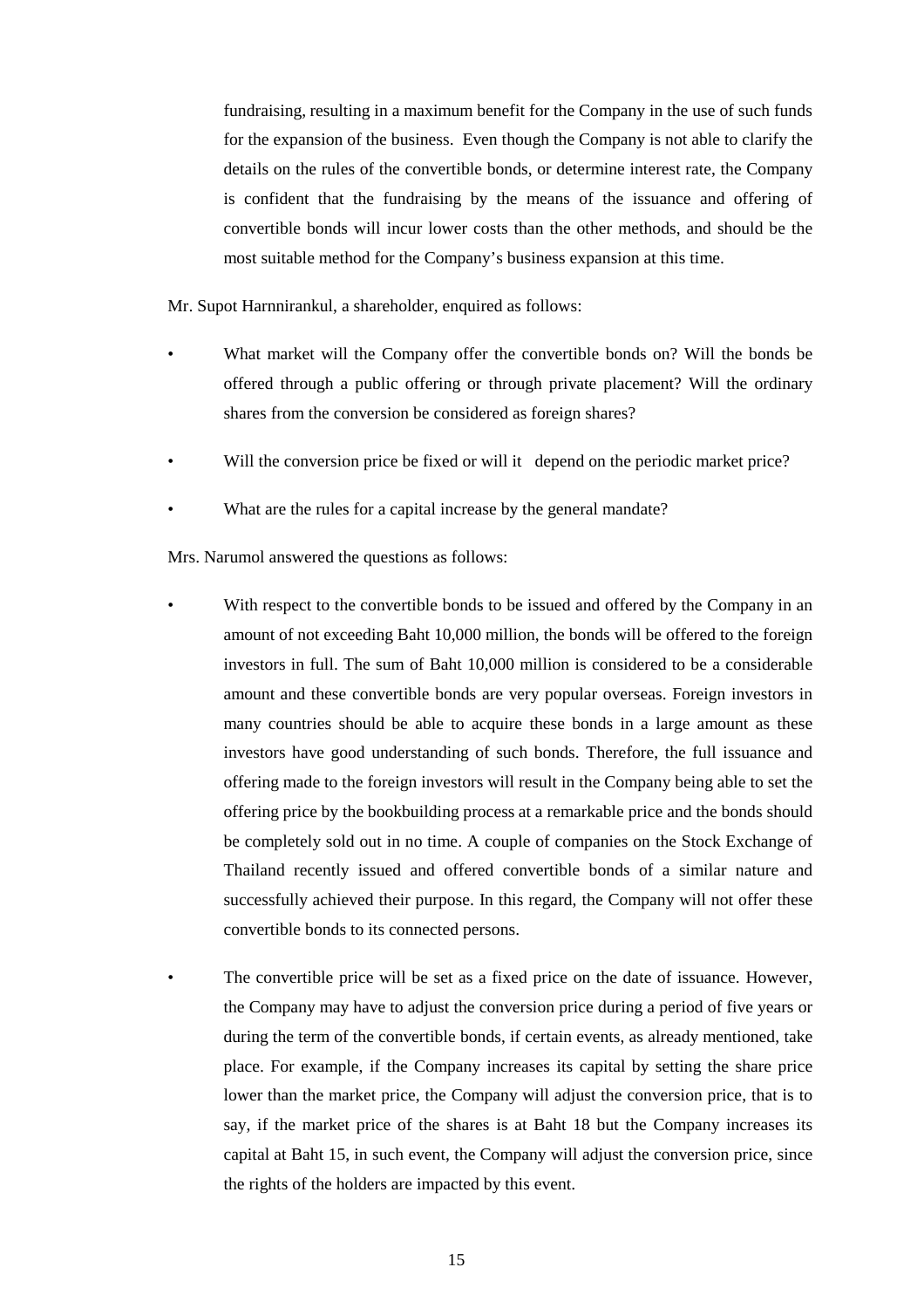fundraising, resulting in a maximum benefit for the Company in the use of such funds for the expansion of the business. Even though the Company is not able to clarify the details on the rules of the convertible bonds, or determine interest rate, the Company is confident that the fundraising by the means of the issuance and offering of convertible bonds will incur lower costs than the other methods, and should be the most suitable method for the Company's business expansion at this time.

Mr. Supot Harnnirankul, a shareholder, enquired as follows:

- What market will the Company offer the convertible bonds on? Will the bonds be offered through a public offering or through private placement? Will the ordinary shares from the conversion be considered as foreign shares?
- Will the conversion price be fixed or will it depend on the periodic market price?
- What are the rules for a capital increase by the general mandate?

Mrs. Narumol answered the questions as follows:

- With respect to the convertible bonds to be issued and offered by the Company in an amount of not exceeding Baht 10,000 million, the bonds will be offered to the foreign investors in full. The sum of Baht 10,000 million is considered to be a considerable amount and these convertible bonds are very popular overseas. Foreign investors in many countries should be able to acquire these bonds in a large amount as these investors have good understanding of such bonds. Therefore, the full issuance and offering made to the foreign investors will result in the Company being able to set the offering price by the bookbuilding process at a remarkable price and the bonds should be completely sold out in no time. A couple of companies on the Stock Exchange of Thailand recently issued and offered convertible bonds of a similar nature and successfully achieved their purpose. In this regard, the Company will not offer these convertible bonds to its connected persons.
- The convertible price will be set as a fixed price on the date of issuance. However, the Company may have to adjust the conversion price during a period of five years or during the term of the convertible bonds, if certain events, as already mentioned, take place. For example, if the Company increases its capital by setting the share price lower than the market price, the Company will adjust the conversion price, that is to say, if the market price of the shares is at Baht 18 but the Company increases its capital at Baht 15, in such event, the Company will adjust the conversion price, since the rights of the holders are impacted by this event.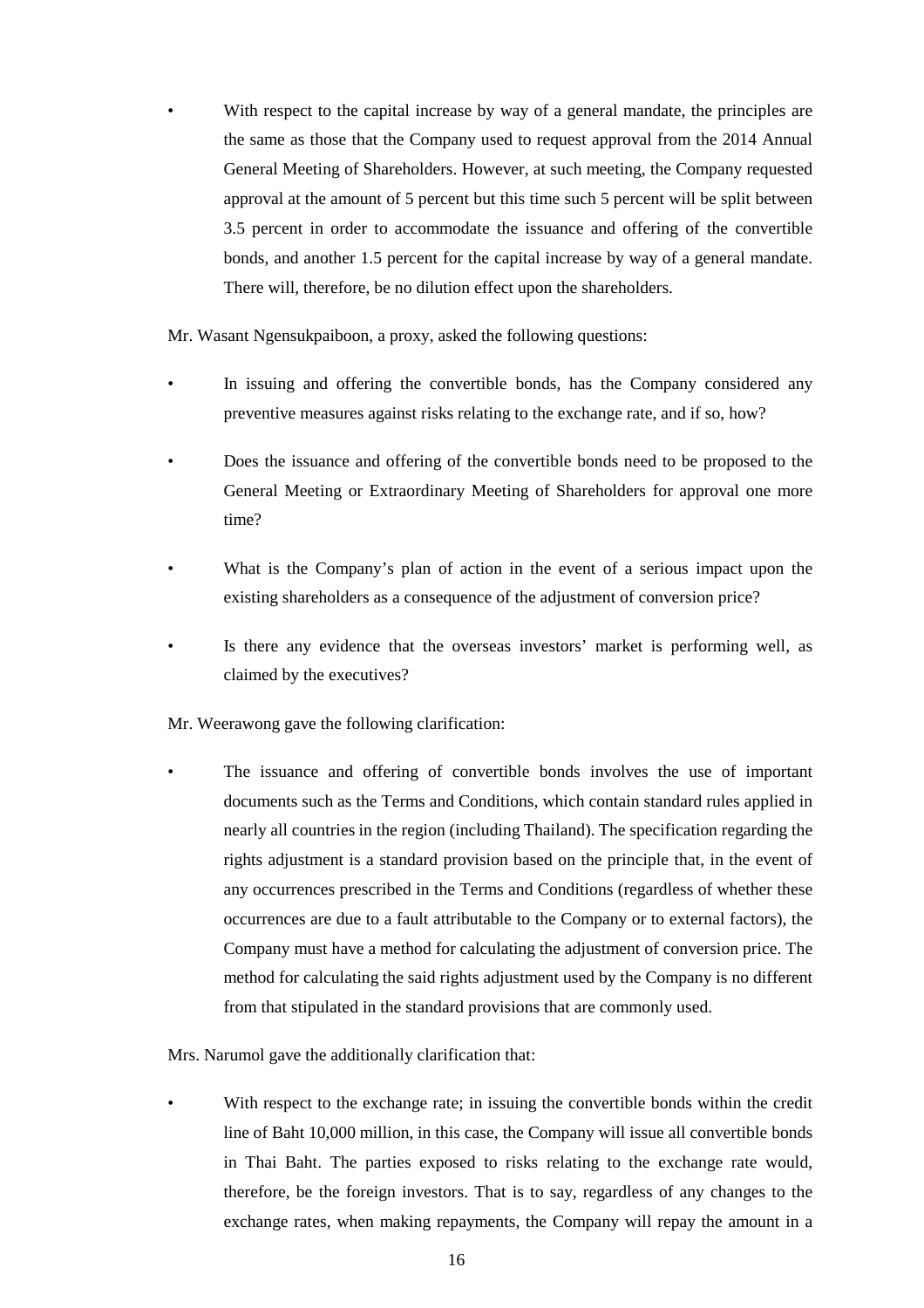With respect to the capital increase by way of a general mandate, the principles are the same as those that the Company used to request approval from the 2014 Annual General Meeting of Shareholders. However, at such meeting, the Company requested approval at the amount of 5 percent but this time such 5 percent will be split between 3.5 percent in order to accommodate the issuance and offering of the convertible bonds, and another 1.5 percent for the capital increase by way of a general mandate. There will, therefore, be no dilution effect upon the shareholders.

Mr. Wasant Ngensukpaiboon, a proxy, asked the following questions:

- In issuing and offering the convertible bonds, has the Company considered any preventive measures against risks relating to the exchange rate, and if so, how?
- Does the issuance and offering of the convertible bonds need to be proposed to the General Meeting or Extraordinary Meeting of Shareholders for approval one more time?
- What is the Company's plan of action in the event of a serious impact upon the existing shareholders as a consequence of the adjustment of conversion price?
- Is there any evidence that the overseas investors' market is performing well, as claimed by the executives?

Mr. Weerawong gave the following clarification:

• The issuance and offering of convertible bonds involves the use of important documents such as the Terms and Conditions, which contain standard rules applied in nearly all countries in the region (including Thailand). The specification regarding the rights adjustment is a standard provision based on the principle that, in the event of any occurrences prescribed in the Terms and Conditions (regardless of whether these occurrences are due to a fault attributable to the Company or to external factors), the Company must have a method for calculating the adjustment of conversion price. The method for calculating the said rights adjustment used by the Company is no different from that stipulated in the standard provisions that are commonly used.

Mrs. Narumol gave the additionally clarification that:

With respect to the exchange rate; in issuing the convertible bonds within the credit line of Baht 10,000 million, in this case, the Company will issue all convertible bonds in Thai Baht. The parties exposed to risks relating to the exchange rate would, therefore, be the foreign investors. That is to say, regardless of any changes to the exchange rates, when making repayments, the Company will repay the amount in a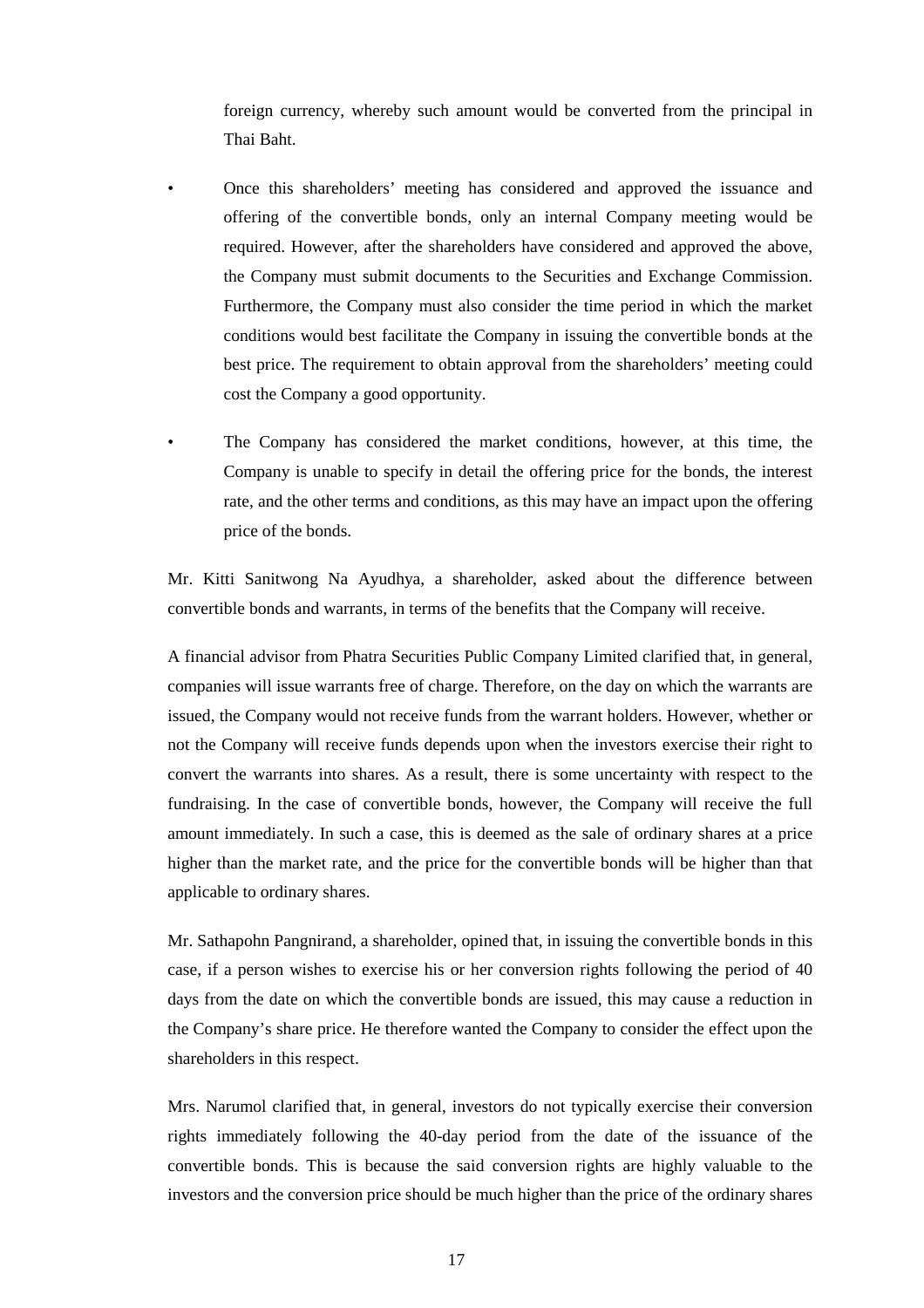foreign currency, whereby such amount would be converted from the principal in Thai Baht.

- Once this shareholders' meeting has considered and approved the issuance and offering of the convertible bonds, only an internal Company meeting would be required. However, after the shareholders have considered and approved the above, the Company must submit documents to the Securities and Exchange Commission. Furthermore, the Company must also consider the time period in which the market conditions would best facilitate the Company in issuing the convertible bonds at the best price. The requirement to obtain approval from the shareholders' meeting could cost the Company a good opportunity.
- The Company has considered the market conditions, however, at this time, the Company is unable to specify in detail the offering price for the bonds, the interest rate, and the other terms and conditions, as this may have an impact upon the offering price of the bonds.

Mr. Kitti Sanitwong Na Ayudhya, a shareholder, asked about the difference between convertible bonds and warrants, in terms of the benefits that the Company will receive.

A financial advisor from Phatra Securities Public Company Limited clarified that, in general, companies will issue warrants free of charge. Therefore, on the day on which the warrants are issued, the Company would not receive funds from the warrant holders. However, whether or not the Company will receive funds depends upon when the investors exercise their right to convert the warrants into shares. As a result, there is some uncertainty with respect to the fundraising. In the case of convertible bonds, however, the Company will receive the full amount immediately. In such a case, this is deemed as the sale of ordinary shares at a price higher than the market rate, and the price for the convertible bonds will be higher than that applicable to ordinary shares.

Mr. Sathapohn Pangnirand, a shareholder, opined that, in issuing the convertible bonds in this case, if a person wishes to exercise his or her conversion rights following the period of 40 days from the date on which the convertible bonds are issued, this may cause a reduction in the Company's share price. He therefore wanted the Company to consider the effect upon the shareholders in this respect.

Mrs. Narumol clarified that, in general, investors do not typically exercise their conversion rights immediately following the 40-day period from the date of the issuance of the convertible bonds. This is because the said conversion rights are highly valuable to the investors and the conversion price should be much higher than the price of the ordinary shares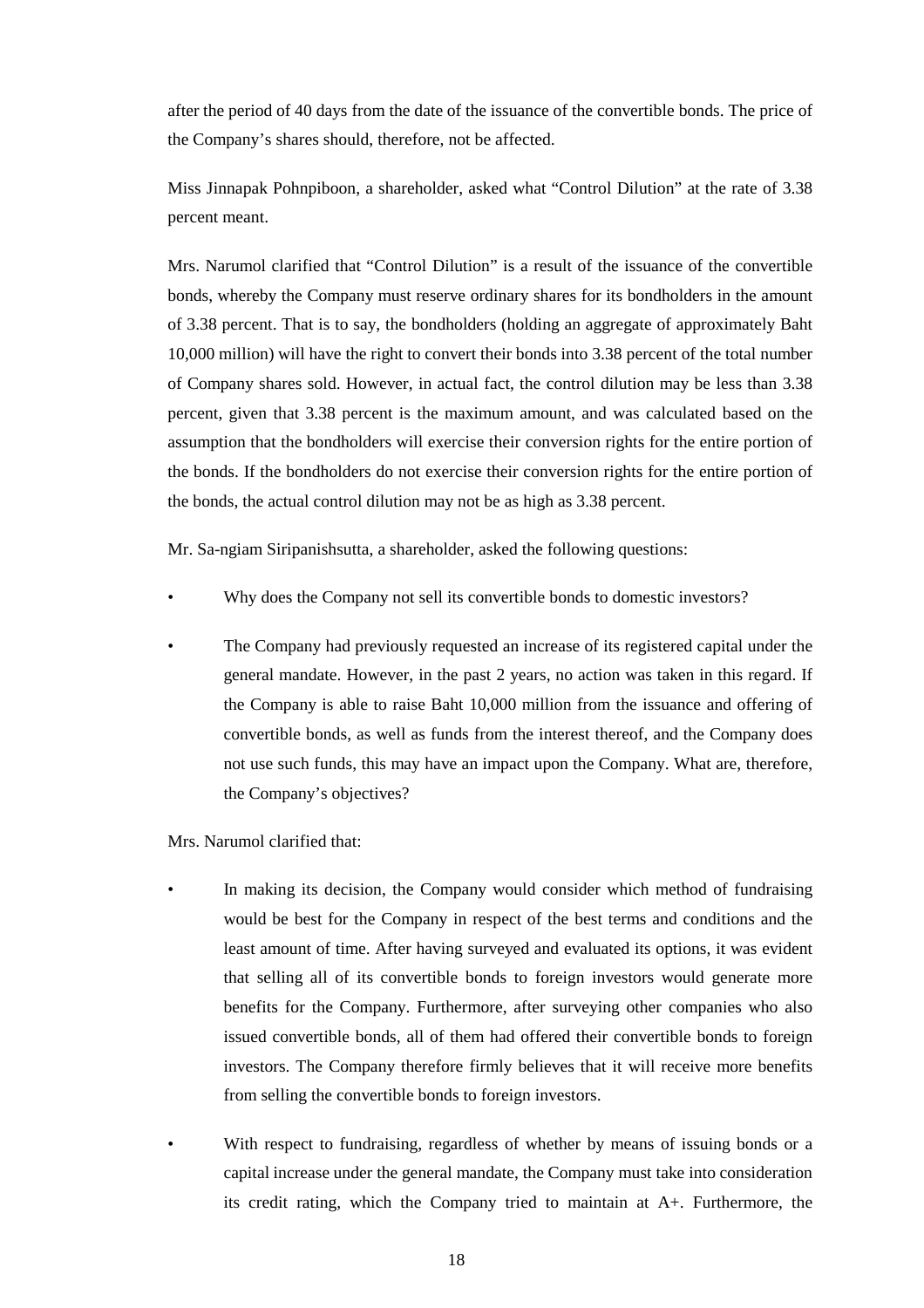after the period of 40 days from the date of the issuance of the convertible bonds. The price of the Company's shares should, therefore, not be affected.

Miss Jinnapak Pohnpiboon, a shareholder, asked what "Control Dilution" at the rate of 3.38 percent meant.

Mrs. Narumol clarified that "Control Dilution" is a result of the issuance of the convertible bonds, whereby the Company must reserve ordinary shares for its bondholders in the amount of 3.38 percent. That is to say, the bondholders (holding an aggregate of approximately Baht 10,000 million) will have the right to convert their bonds into 3.38 percent of the total number of Company shares sold. However, in actual fact, the control dilution may be less than 3.38 percent, given that 3.38 percent is the maximum amount, and was calculated based on the assumption that the bondholders will exercise their conversion rights for the entire portion of the bonds. If the bondholders do not exercise their conversion rights for the entire portion of the bonds, the actual control dilution may not be as high as 3.38 percent.

Mr. Sa-ngiam Siripanishsutta, a shareholder, asked the following questions:

- Why does the Company not sell its convertible bonds to domestic investors?
- The Company had previously requested an increase of its registered capital under the general mandate. However, in the past 2 years, no action was taken in this regard. If the Company is able to raise Baht 10,000 million from the issuance and offering of convertible bonds, as well as funds from the interest thereof, and the Company does not use such funds, this may have an impact upon the Company. What are, therefore, the Company's objectives?

Mrs. Narumol clarified that:

- In making its decision, the Company would consider which method of fundraising would be best for the Company in respect of the best terms and conditions and the least amount of time. After having surveyed and evaluated its options, it was evident that selling all of its convertible bonds to foreign investors would generate more benefits for the Company. Furthermore, after surveying other companies who also issued convertible bonds, all of them had offered their convertible bonds to foreign investors. The Company therefore firmly believes that it will receive more benefits from selling the convertible bonds to foreign investors.
- With respect to fundraising, regardless of whether by means of issuing bonds or a capital increase under the general mandate, the Company must take into consideration its credit rating, which the Company tried to maintain at A+. Furthermore, the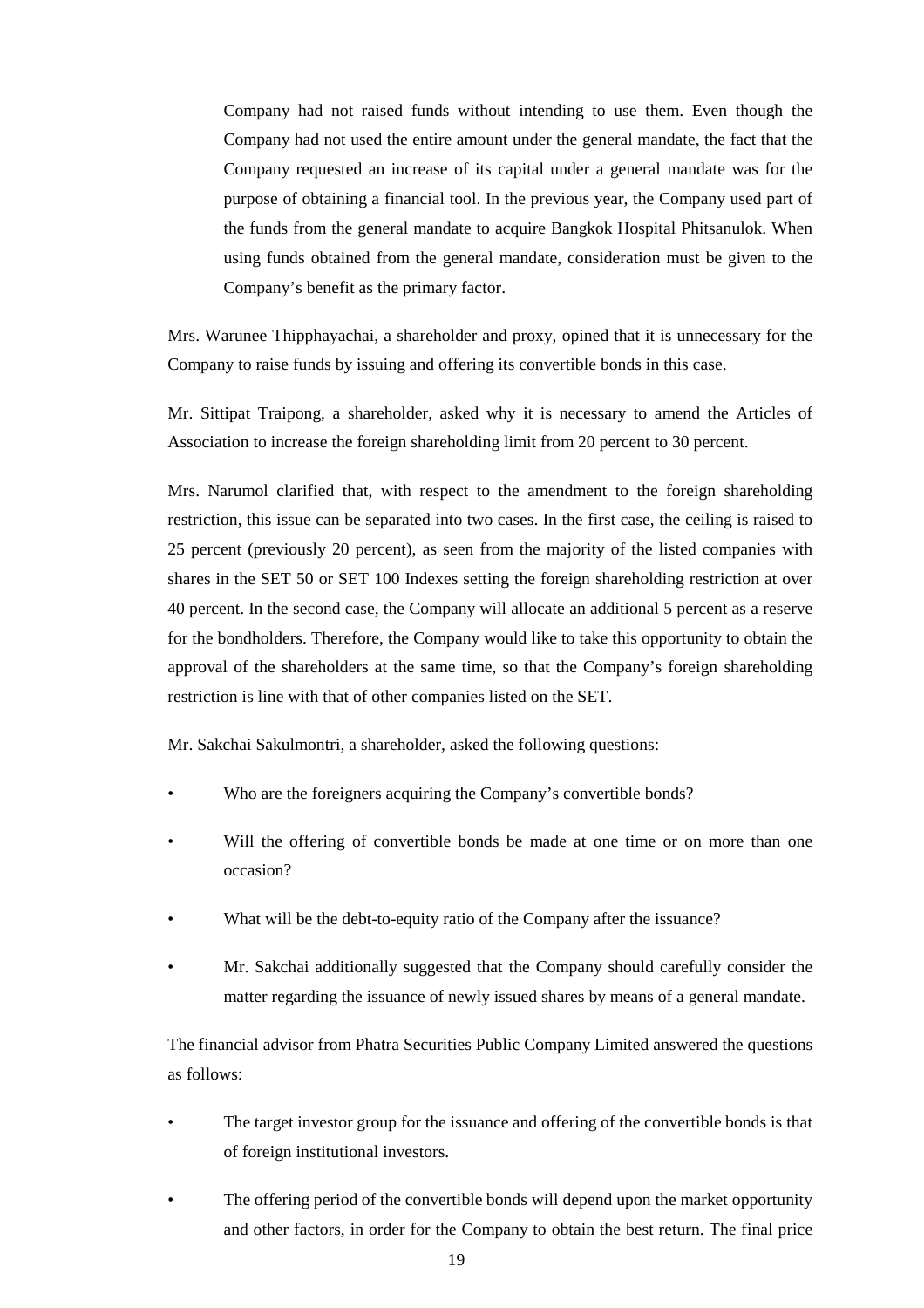Company had not raised funds without intending to use them. Even though the Company had not used the entire amount under the general mandate, the fact that the Company requested an increase of its capital under a general mandate was for the purpose of obtaining a financial tool. In the previous year, the Company used part of the funds from the general mandate to acquire Bangkok Hospital Phitsanulok. When using funds obtained from the general mandate, consideration must be given to the Company's benefit as the primary factor.

Mrs. Warunee Thipphayachai, a shareholder and proxy, opined that it is unnecessary for the Company to raise funds by issuing and offering its convertible bonds in this case.

Mr. Sittipat Traipong, a shareholder, asked why it is necessary to amend the Articles of Association to increase the foreign shareholding limit from 20 percent to 30 percent.

Mrs. Narumol clarified that, with respect to the amendment to the foreign shareholding restriction, this issue can be separated into two cases. In the first case, the ceiling is raised to 25 percent (previously 20 percent), as seen from the majority of the listed companies with shares in the SET 50 or SET 100 Indexes setting the foreign shareholding restriction at over 40 percent. In the second case, the Company will allocate an additional 5 percent as a reserve for the bondholders. Therefore, the Company would like to take this opportunity to obtain the approval of the shareholders at the same time, so that the Company's foreign shareholding restriction is line with that of other companies listed on the SET.

Mr. Sakchai Sakulmontri, a shareholder, asked the following questions:

- Who are the foreigners acquiring the Company's convertible bonds?
- Will the offering of convertible bonds be made at one time or on more than one occasion?
- What will be the debt-to-equity ratio of the Company after the issuance?
- Mr. Sakchai additionally suggested that the Company should carefully consider the matter regarding the issuance of newly issued shares by means of a general mandate.

The financial advisor from Phatra Securities Public Company Limited answered the questions as follows:

- The target investor group for the issuance and offering of the convertible bonds is that of foreign institutional investors.
- The offering period of the convertible bonds will depend upon the market opportunity and other factors, in order for the Company to obtain the best return. The final price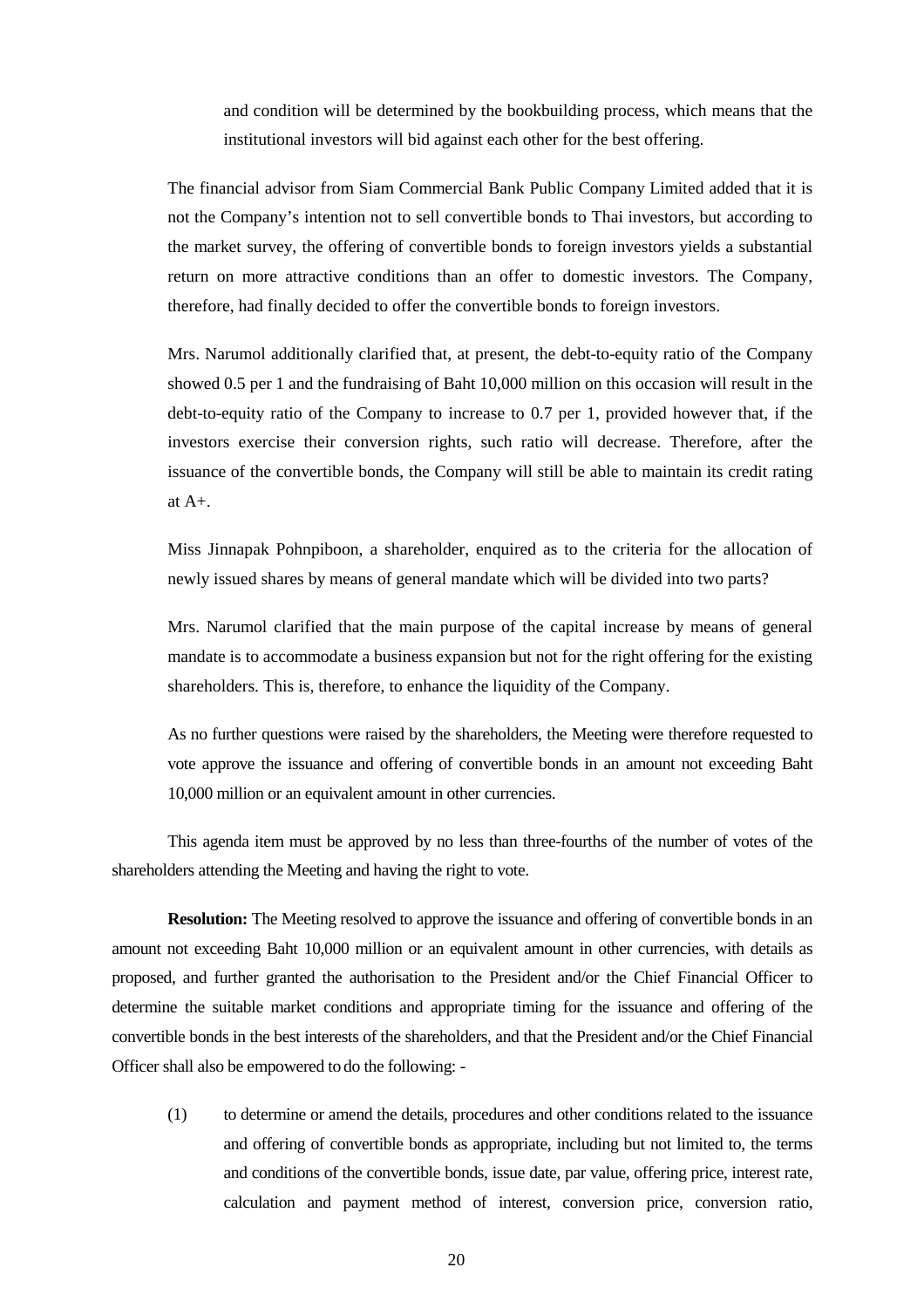and condition will be determined by the bookbuilding process, which means that the institutional investors will bid against each other for the best offering.

The financial advisor from Siam Commercial Bank Public Company Limited added that it is not the Company's intention not to sell convertible bonds to Thai investors, but according to the market survey, the offering of convertible bonds to foreign investors yields a substantial return on more attractive conditions than an offer to domestic investors. The Company, therefore, had finally decided to offer the convertible bonds to foreign investors.

Mrs. Narumol additionally clarified that, at present, the debt-to-equity ratio of the Company showed 0.5 per 1 and the fundraising of Baht 10,000 million on this occasion will result in the debt-to-equity ratio of the Company to increase to 0.7 per 1, provided however that, if the investors exercise their conversion rights, such ratio will decrease. Therefore, after the issuance of the convertible bonds, the Company will still be able to maintain its credit rating at A+.

Miss Jinnapak Pohnpiboon, a shareholder, enquired as to the criteria for the allocation of newly issued shares by means of general mandate which will be divided into two parts?

Mrs. Narumol clarified that the main purpose of the capital increase by means of general mandate is to accommodate a business expansion but not for the right offering for the existing shareholders. This is, therefore, to enhance the liquidity of the Company.

As no further questions were raised by the shareholders, the Meeting were therefore requested to vote approve the issuance and offering of convertible bonds in an amount not exceeding Baht 10,000 million or an equivalent amount in other currencies.

This agenda item must be approved by no less than three-fourths of the number of votes of the shareholders attending the Meeting and having the right to vote.

**Resolution:** The Meeting resolved to approve the issuance and offering of convertible bonds in an amount not exceeding Baht 10,000 million or an equivalent amount in other currencies, with details as proposed, and further granted the authorisation to the President and/or the Chief Financial Officer to determine the suitable market conditions and appropriate timing for the issuance and offering of the convertible bonds in the best interests of the shareholders, and that the President and/or the Chief Financial Officer shall also be empowered to do the following: -

(1) to determine or amend the details, procedures and other conditions related to the issuance and offering of convertible bonds as appropriate, including but not limited to, the terms and conditions of the convertible bonds, issue date, par value, offering price, interest rate, calculation and payment method of interest, conversion price, conversion ratio,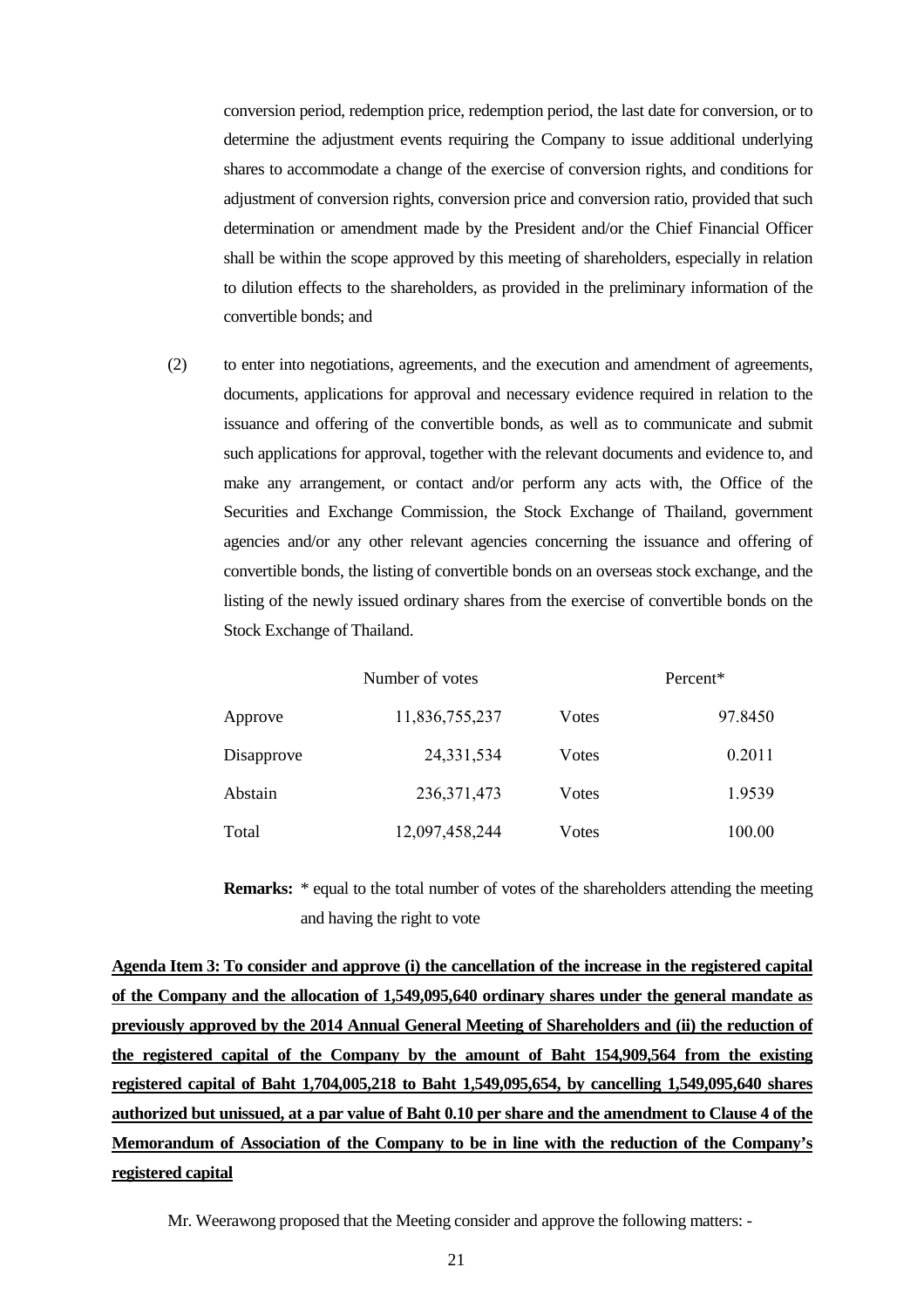conversion period, redemption price, redemption period, the last date for conversion, or to determine the adjustment events requiring the Company to issue additional underlying shares to accommodate a change of the exercise of conversion rights, and conditions for adjustment of conversion rights, conversion price and conversion ratio, provided that such determination or amendment made by the President and/or the Chief Financial Officer shall be within the scope approved by this meeting of shareholders, especially in relation to dilution effects to the shareholders, as provided in the preliminary information of the convertible bonds; and

(2) to enter into negotiations, agreements, and the execution and amendment of agreements, documents, applications for approval and necessary evidence required in relation to the issuance and offering of the convertible bonds, as well as to communicate and submit such applications for approval, together with the relevant documents and evidence to, and make any arrangement, or contact and/or perform any acts with, the Office of the Securities and Exchange Commission, the Stock Exchange of Thailand, government agencies and/or any other relevant agencies concerning the issuance and offering of convertible bonds, the listing of convertible bonds on an overseas stock exchange, and the listing of the newly issued ordinary shares from the exercise of convertible bonds on the Stock Exchange of Thailand.

|         | Number of votes |                |       | Percent* |  |  |
|---------|-----------------|----------------|-------|----------|--|--|
| Approve |                 | 11,836,755,237 | Votes | 97.8450  |  |  |
|         | Disapprove      | 24, 331, 534   | Votes | 0.2011   |  |  |
| Abstain |                 | 236, 371, 473  | Votes | 1.9539   |  |  |
| Total   |                 | 12,097,458,244 | Votes | 100.00   |  |  |

**Remarks:** \* equal to the total number of votes of the shareholders attending the meeting and having the right to vote

**Agenda Item 3: To consider and approve (i) the cancellation of the increase in the registered capital of the Company and the allocation of 1,549,095,640 ordinary shares under the general mandate as previously approved by the 2014 Annual General Meeting of Shareholders and (ii) the reduction of the registered capital of the Company by the amount of Baht 154,909,564 from the existing registered capital of Baht 1,704,005,218 to Baht 1,549,095,654, by cancelling 1,549,095,640 shares authorized but unissued, at a par value of Baht 0.10 per share and the amendment to Clause 4 of the Memorandum of Association of the Company to be in line with the reduction of the Company's registered capital** 

Mr. Weerawong proposed that the Meeting consider and approve the following matters: -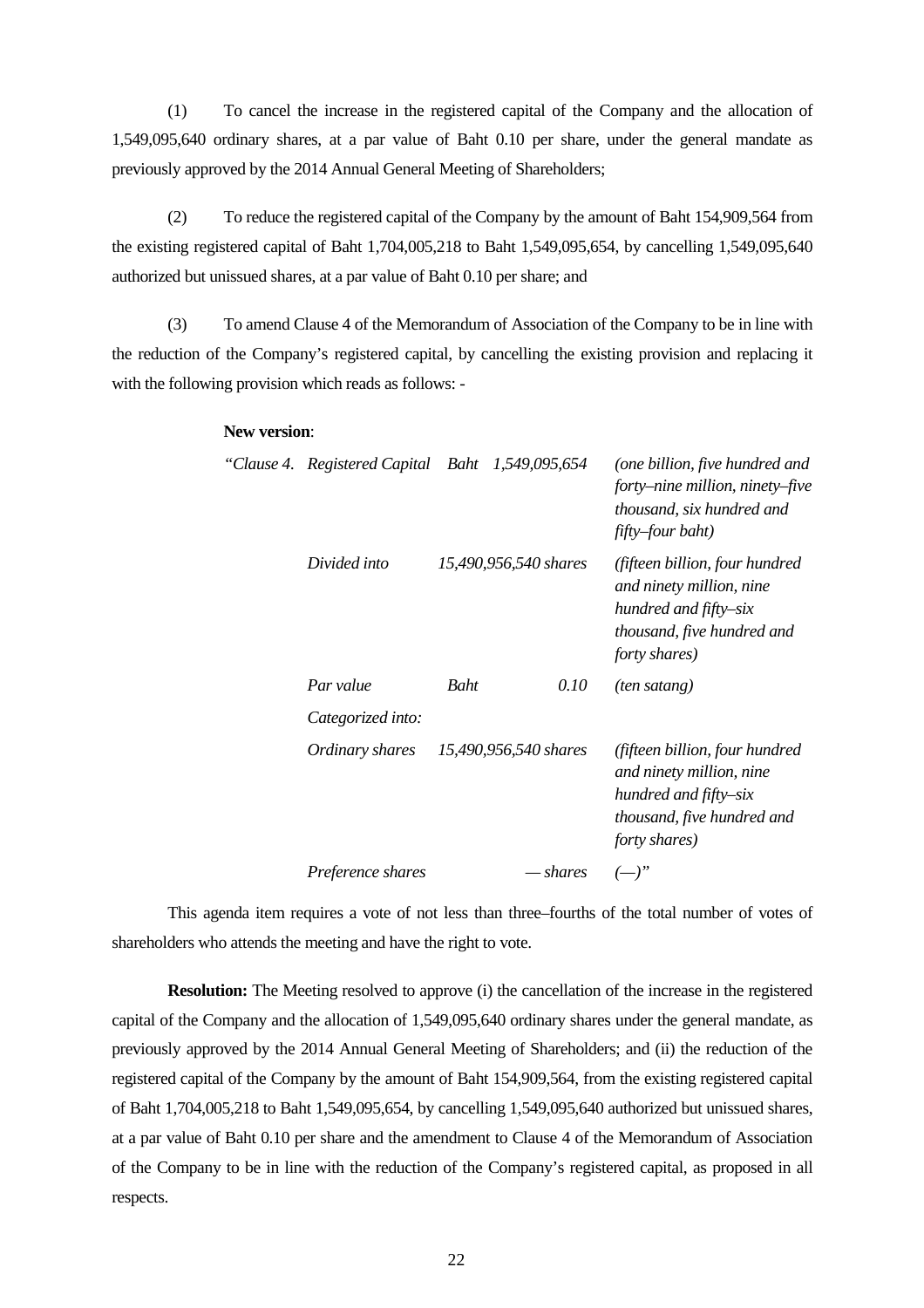(1) To cancel the increase in the registered capital of the Company and the allocation of 1,549,095,640 ordinary shares, at a par value of Baht 0.10 per share, under the general mandate as previously approved by the 2014 Annual General Meeting of Shareholders;

(2) To reduce the registered capital of the Company by the amount of Baht 154,909,564 from the existing registered capital of Baht 1,704,005,218 to Baht 1,549,095,654, by cancelling 1,549,095,640 authorized but unissued shares, at a par value of Baht 0.10 per share; and

(3) To amend Clause 4 of the Memorandum of Association of the Company to be in line with the reduction of the Company's registered capital, by cancelling the existing provision and replacing it with the following provision which reads as follows: -

#### **New version**:

|  | "Clause 4. Registered Capital Baht 1,549,095,654 |      |                       | (one billion, five hundred and<br>forty–nine million, ninety–five<br>thousand, six hundred and<br>fifty-four baht)                 |  |  |  |
|--|--------------------------------------------------|------|-----------------------|------------------------------------------------------------------------------------------------------------------------------------|--|--|--|
|  | Divided into                                     |      | 15,490,956,540 shares | (fifteen billion, four hundred<br>and ninety million, nine<br>hundred and fifty-six<br>thousand, five hundred and<br>forty shares) |  |  |  |
|  | Par value                                        | Baht | 0.10                  | (ten satang)                                                                                                                       |  |  |  |
|  | Categorized into:                                |      |                       |                                                                                                                                    |  |  |  |
|  | Ordinary shares                                  |      | 15,490,956,540 shares | (fifteen billion, four hundred<br>and ninety million, nine<br>hundred and fifty-six<br>thousand, five hundred and<br>forty shares) |  |  |  |
|  | Preference shares                                |      | — shares              | $(-)^"$                                                                                                                            |  |  |  |

This agenda item requires a vote of not less than three–fourths of the total number of votes of shareholders who attends the meeting and have the right to vote.

**Resolution:** The Meeting resolved to approve (i) the cancellation of the increase in the registered capital of the Company and the allocation of 1,549,095,640 ordinary shares under the general mandate, as previously approved by the 2014 Annual General Meeting of Shareholders; and (ii) the reduction of the registered capital of the Company by the amount of Baht 154,909,564, from the existing registered capital of Baht 1,704,005,218 to Baht 1,549,095,654, by cancelling 1,549,095,640 authorized but unissued shares, at a par value of Baht 0.10 per share and the amendment to Clause 4 of the Memorandum of Association of the Company to be in line with the reduction of the Company's registered capital, as proposed in all respects.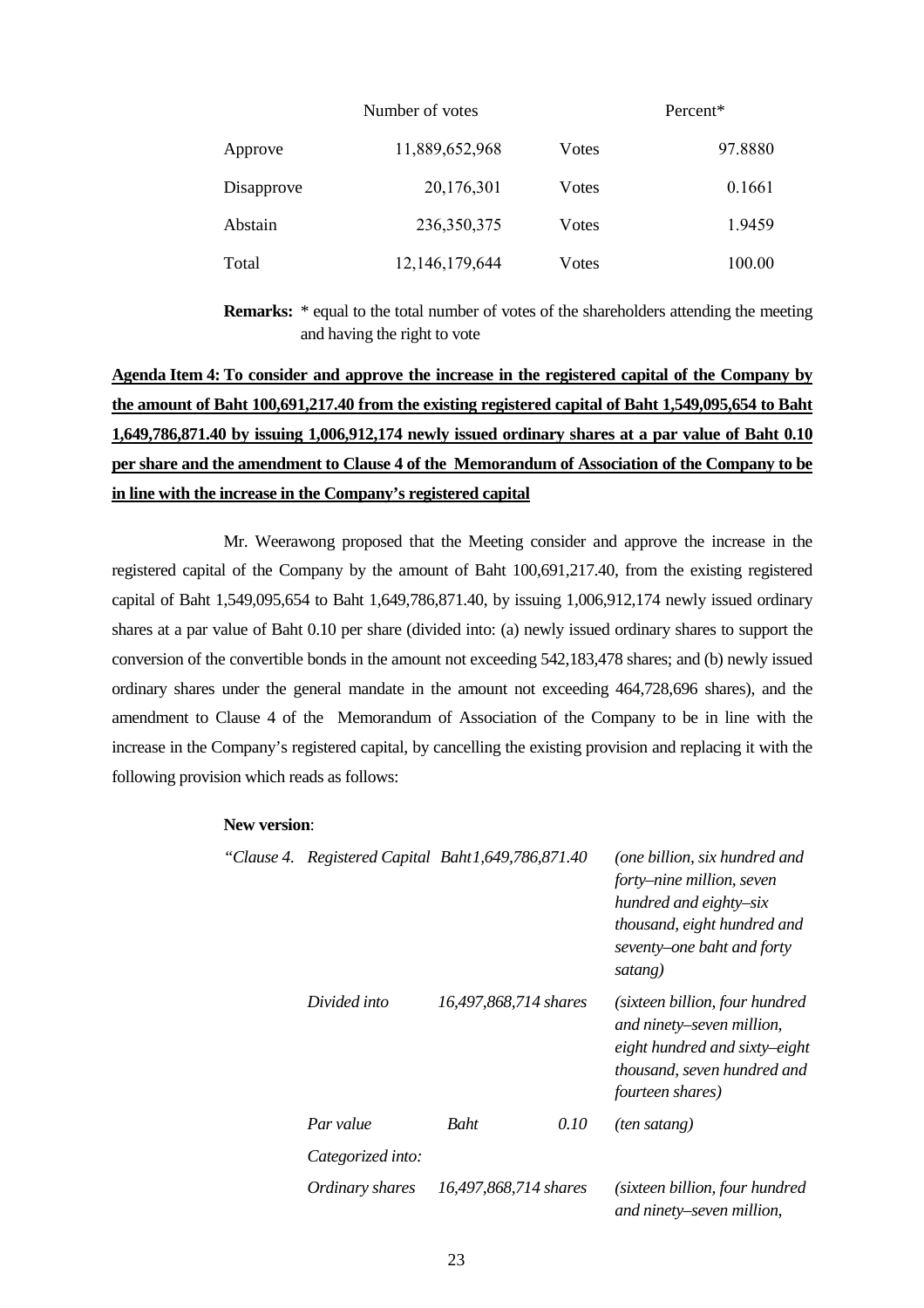|            | Number of votes |       |         |  |
|------------|-----------------|-------|---------|--|
| Approve    | 11,889,652,968  | Votes | 97.8880 |  |
| Disapprove | 20,176,301      | Votes | 0.1661  |  |
| Abstain    | 236, 350, 375   | Votes | 1.9459  |  |
| Total      | 12,146,179,644  | Votes | 100.00  |  |

**Remarks:** \* equal to the total number of votes of the shareholders attending the meeting and having the right to vote

# **Agenda Item 4: To consider and approve the increase in the registered capital of the Company by the amount of Baht 100,691,217.40 from the existing registered capital of Baht 1,549,095,654 to Baht 1,649,786,871.40 by issuing 1,006,912,174 newly issued ordinary shares at a par value of Baht 0.10 per share and the amendment to Clause 4 of the Memorandum of Association of the Company to be in line with the increase in the Company's registered capital**

Mr. Weerawong proposed that the Meeting consider and approve the increase in the registered capital of the Company by the amount of Baht 100,691,217.40, from the existing registered capital of Baht 1,549,095,654 to Baht 1,649,786,871.40, by issuing 1,006,912,174 newly issued ordinary shares at a par value of Baht 0.10 per share (divided into: (a) newly issued ordinary shares to support the conversion of the convertible bonds in the amount not exceeding 542,183,478 shares; and (b) newly issued ordinary shares under the general mandate in the amount not exceeding 464,728,696 shares), and the amendment to Clause 4 of the Memorandum of Association of the Company to be in line with the increase in the Company's registered capital, by cancelling the existing provision and replacing it with the following provision which reads as follows:

#### **New version**:

| "Clause 4. |                   | Registered Capital Baht1,649,786,871.40 |      | (one billion, six hundred and<br>forty–nine million, seven<br>hundred and eighty-six<br>thousand, eight hundred and<br>seventy–one baht and forty<br>satang) |  |
|------------|-------------------|-----------------------------------------|------|--------------------------------------------------------------------------------------------------------------------------------------------------------------|--|
|            | Divided into      | 16,497,868,714 shares                   |      | (sixteen billion, four hundred<br>and ninety–seven million,<br>eight hundred and sixty-eight<br>thousand, seven hundred and<br>fourteen shares)              |  |
|            | Par value         | <b>Baht</b>                             | 0.10 | (ten satang)                                                                                                                                                 |  |
|            | Categorized into: |                                         |      |                                                                                                                                                              |  |
|            | Ordinary shares   | 16,497,868,714 shares                   |      | (sixteen billion, four hundred<br>and ninety–seven million,                                                                                                  |  |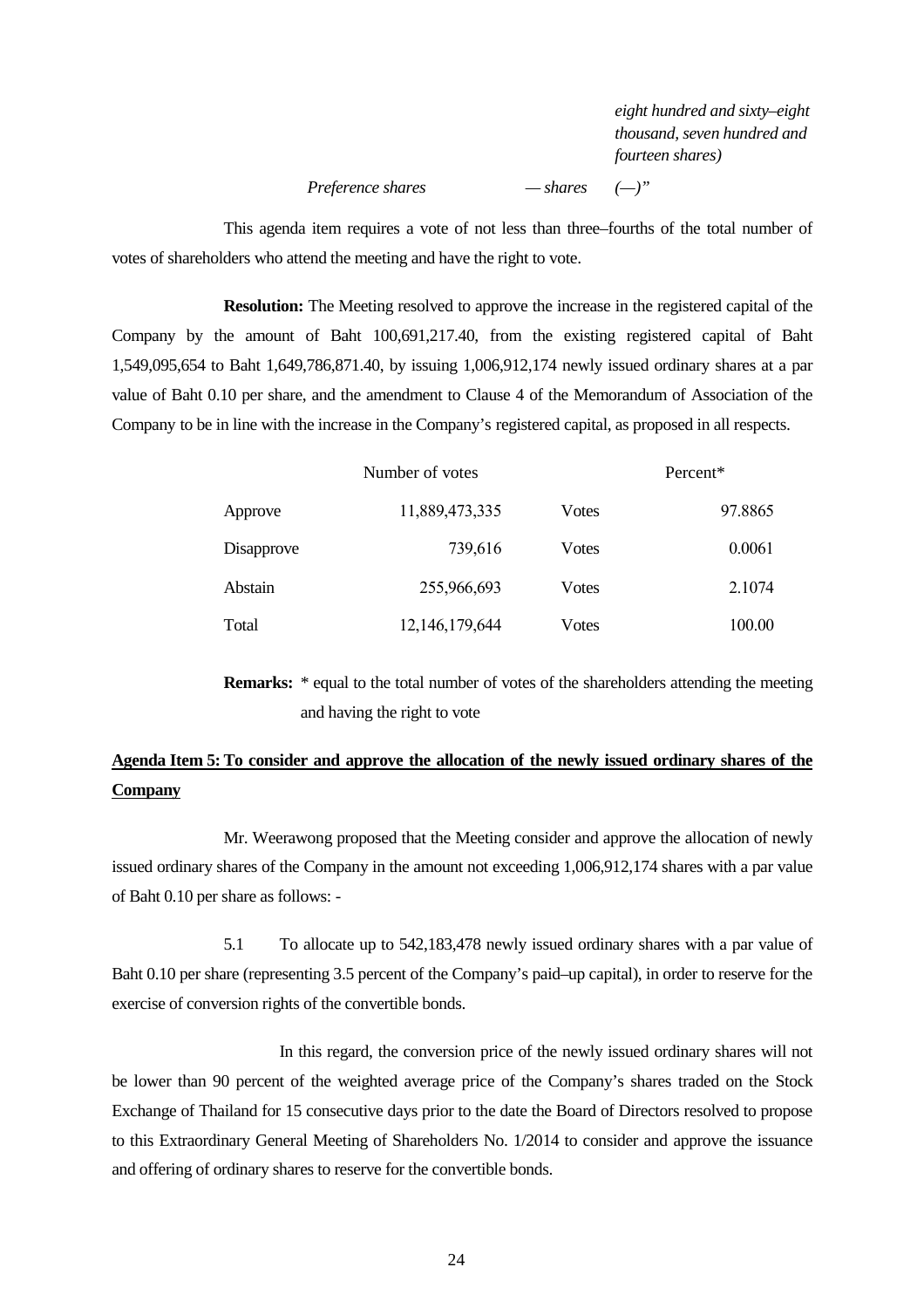*eight hundred and sixty–eight thousand, seven hundred and fourteen shares)* 

# *Preference shares — shares (—)"*

This agenda item requires a vote of not less than three–fourths of the total number of votes of shareholders who attend the meeting and have the right to vote.

**Resolution:** The Meeting resolved to approve the increase in the registered capital of the Company by the amount of Baht 100,691,217.40, from the existing registered capital of Baht 1,549,095,654 to Baht 1,649,786,871.40, by issuing 1,006,912,174 newly issued ordinary shares at a par value of Baht 0.10 per share, and the amendment to Clause 4 of the Memorandum of Association of the Company to be in line with the increase in the Company's registered capital, as proposed in all respects.

|            | Number of votes |               | Percent* |  |
|------------|-----------------|---------------|----------|--|
| Approve    | 11,889,473,335  | <b>V</b> otes | 97.8865  |  |
| Disapprove | 739,616         | <b>V</b> otes | 0.0061   |  |
| Abstain    | 255,966,693     | <b>V</b> otes | 2.1074   |  |
| Total      | 12,146,179,644  | <b>V</b> otes | 100.00   |  |

**Remarks:** \* equal to the total number of votes of the shareholders attending the meeting and having the right to vote

# **Agenda Item 5: To consider and approve the allocation of the newly issued ordinary shares of the Company**

Mr. Weerawong proposed that the Meeting consider and approve the allocation of newly issued ordinary shares of the Company in the amount not exceeding 1,006,912,174 shares with a par value of Baht 0.10 per share as follows: -

5.1 To allocate up to 542,183,478 newly issued ordinary shares with a par value of Baht 0.10 per share (representing 3.5 percent of the Company's paid–up capital), in order to reserve for the exercise of conversion rights of the convertible bonds.

In this regard, the conversion price of the newly issued ordinary shares will not be lower than 90 percent of the weighted average price of the Company's shares traded on the Stock Exchange of Thailand for 15 consecutive days prior to the date the Board of Directors resolved to propose to this Extraordinary General Meeting of Shareholders No. 1/2014 to consider and approve the issuance and offering of ordinary shares to reserve for the convertible bonds.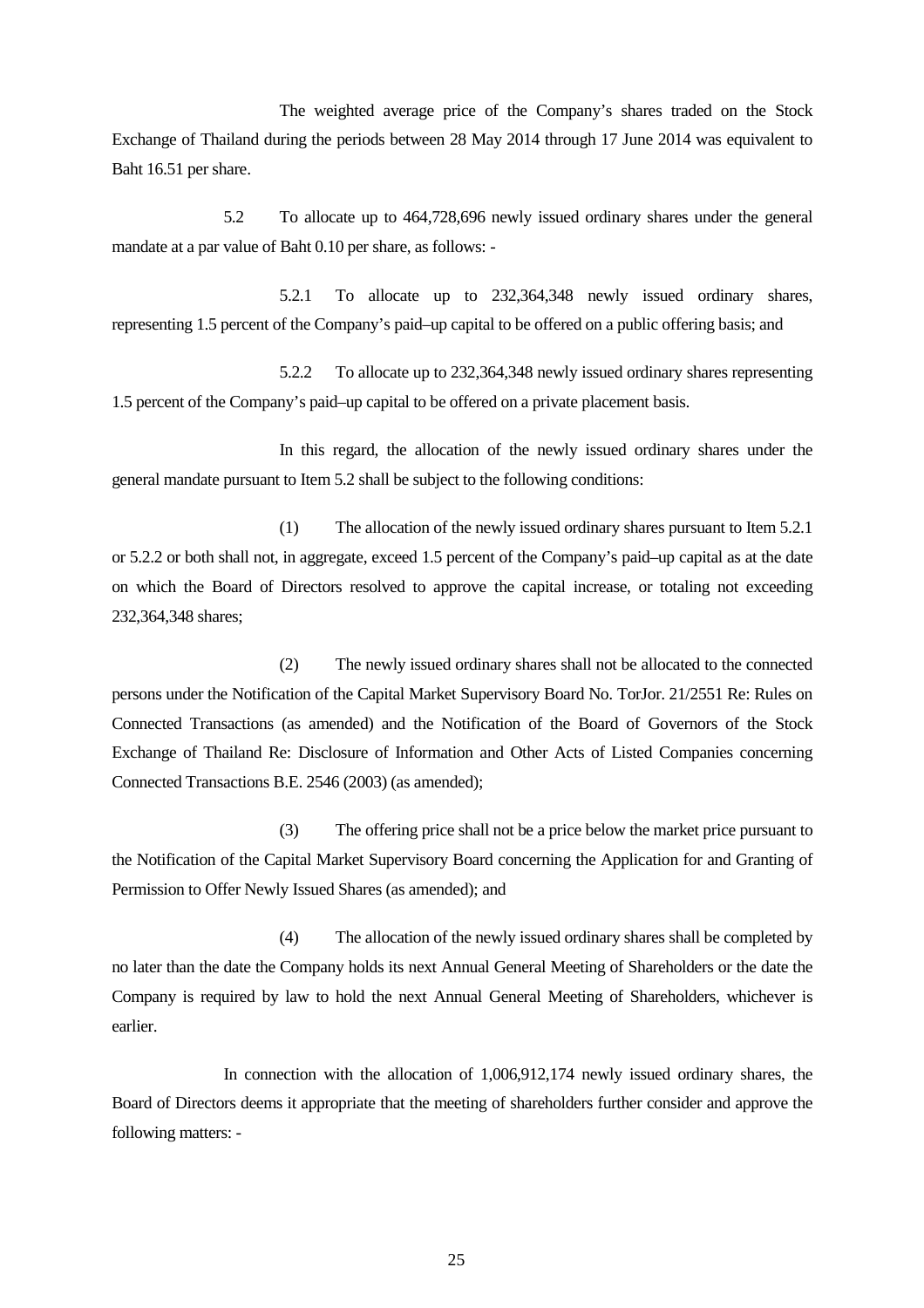The weighted average price of the Company's shares traded on the Stock Exchange of Thailand during the periods between 28 May 2014 through 17 June 2014 was equivalent to Baht 16.51 per share.

5.2 To allocate up to 464,728,696 newly issued ordinary shares under the general mandate at a par value of Baht 0.10 per share, as follows: -

5.2.1 To allocate up to 232,364,348 newly issued ordinary shares, representing 1.5 percent of the Company's paid–up capital to be offered on a public offering basis; and

5.2.2 To allocate up to 232,364,348 newly issued ordinary shares representing 1.5 percent of the Company's paid–up capital to be offered on a private placement basis.

In this regard, the allocation of the newly issued ordinary shares under the general mandate pursuant to Item 5.2 shall be subject to the following conditions:

(1) The allocation of the newly issued ordinary shares pursuant to Item 5.2.1 or 5.2.2 or both shall not, in aggregate, exceed 1.5 percent of the Company's paid–up capital as at the date on which the Board of Directors resolved to approve the capital increase, or totaling not exceeding 232,364,348 shares;

(2) The newly issued ordinary shares shall not be allocated to the connected persons under the Notification of the Capital Market Supervisory Board No. TorJor. 21/2551 Re: Rules on Connected Transactions (as amended) and the Notification of the Board of Governors of the Stock Exchange of Thailand Re: Disclosure of Information and Other Acts of Listed Companies concerning Connected Transactions B.E. 2546 (2003) (as amended);

(3) The offering price shall not be a price below the market price pursuant to the Notification of the Capital Market Supervisory Board concerning the Application for and Granting of Permission to Offer Newly Issued Shares (as amended); and

(4) The allocation of the newly issued ordinary shares shall be completed by no later than the date the Company holds its next Annual General Meeting of Shareholders or the date the Company is required by law to hold the next Annual General Meeting of Shareholders, whichever is earlier.

In connection with the allocation of 1,006,912,174 newly issued ordinary shares, the Board of Directors deems it appropriate that the meeting of shareholders further consider and approve the following matters: -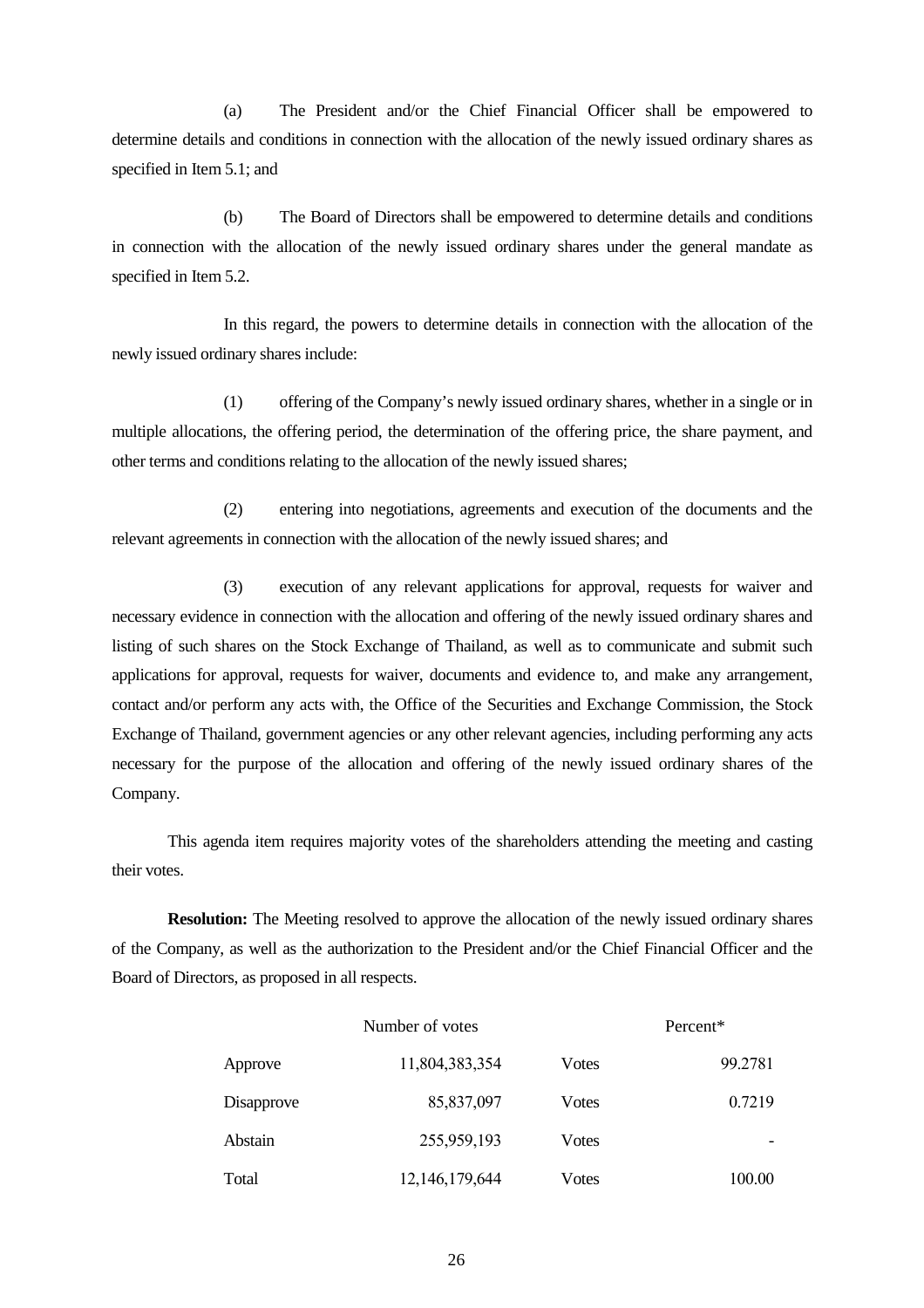(a) The President and/or the Chief Financial Officer shall be empowered to determine details and conditions in connection with the allocation of the newly issued ordinary shares as specified in Item 5.1; and

(b) The Board of Directors shall be empowered to determine details and conditions in connection with the allocation of the newly issued ordinary shares under the general mandate as specified in Item 5.2.

In this regard, the powers to determine details in connection with the allocation of the newly issued ordinary shares include:

(1) offering of the Company's newly issued ordinary shares, whether in a single or in multiple allocations, the offering period, the determination of the offering price, the share payment, and other terms and conditions relating to the allocation of the newly issued shares;

(2) entering into negotiations, agreements and execution of the documents and the relevant agreements in connection with the allocation of the newly issued shares; and

(3) execution of any relevant applications for approval, requests for waiver and necessary evidence in connection with the allocation and offering of the newly issued ordinary shares and listing of such shares on the Stock Exchange of Thailand, as well as to communicate and submit such applications for approval, requests for waiver, documents and evidence to, and make any arrangement, contact and/or perform any acts with, the Office of the Securities and Exchange Commission, the Stock Exchange of Thailand, government agencies or any other relevant agencies, including performing any acts necessary for the purpose of the allocation and offering of the newly issued ordinary shares of the Company.

This agenda item requires majority votes of the shareholders attending the meeting and casting their votes.

**Resolution:** The Meeting resolved to approve the allocation of the newly issued ordinary shares of the Company, as well as the authorization to the President and/or the Chief Financial Officer and the Board of Directors, as proposed in all respects.

|            | Number of votes |       | Percent* |  |
|------------|-----------------|-------|----------|--|
| Approve    | 11,804,383,354  | Votes | 99.2781  |  |
| Disapprove | 85,837,097      | Votes | 0.7219   |  |
| Abstain    | 255,959,193     | Votes |          |  |
| Total      | 12,146,179,644  | Votes | 100.00   |  |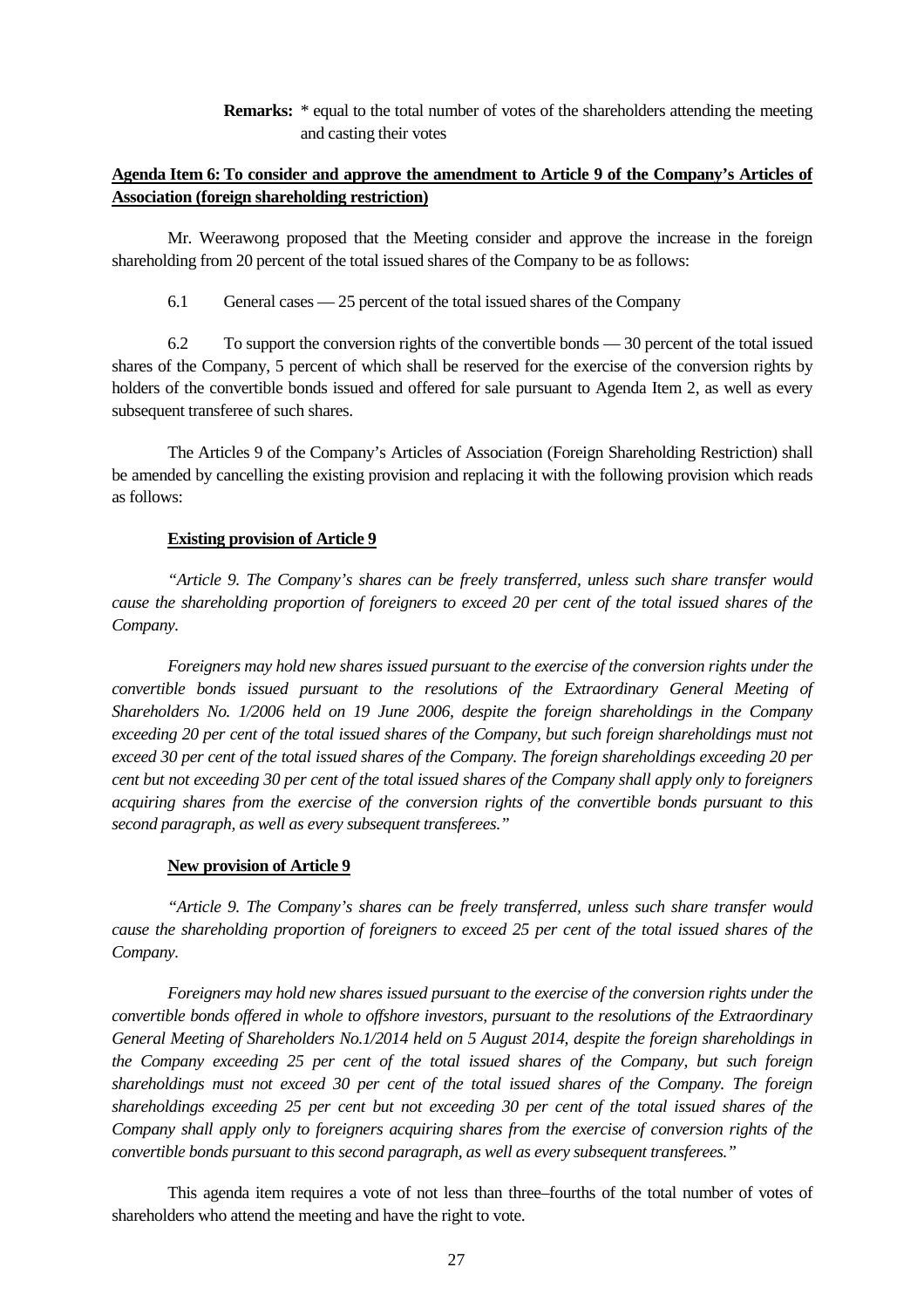**Remarks:** \* equal to the total number of votes of the shareholders attending the meeting and casting their votes

# **Agenda Item 6: To consider and approve the amendment to Article 9 of the Company's Articles of Association (foreign shareholding restriction)**

Mr. Weerawong proposed that the Meeting consider and approve the increase in the foreign shareholding from 20 percent of the total issued shares of the Company to be as follows:

6.1 General cases — 25 percent of the total issued shares of the Company

6.2 To support the conversion rights of the convertible bonds — 30 percent of the total issued shares of the Company, 5 percent of which shall be reserved for the exercise of the conversion rights by holders of the convertible bonds issued and offered for sale pursuant to Agenda Item 2, as well as every subsequent transferee of such shares.

The Articles 9 of the Company's Articles of Association (Foreign Shareholding Restriction) shall be amended by cancelling the existing provision and replacing it with the following provision which reads as follows:

### **Existing provision of Article 9**

*"Article 9. The Company's shares can be freely transferred, unless such share transfer would cause the shareholding proportion of foreigners to exceed 20 per cent of the total issued shares of the Company.* 

*Foreigners may hold new shares issued pursuant to the exercise of the conversion rights under the convertible bonds issued pursuant to the resolutions of the Extraordinary General Meeting of Shareholders No. 1/2006 held on 19 June 2006, despite the foreign shareholdings in the Company exceeding 20 per cent of the total issued shares of the Company, but such foreign shareholdings must not exceed 30 per cent of the total issued shares of the Company. The foreign shareholdings exceeding 20 per cent but not exceeding 30 per cent of the total issued shares of the Company shall apply only to foreigners acquiring shares from the exercise of the conversion rights of the convertible bonds pursuant to this second paragraph, as well as every subsequent transferees."* 

#### **New provision of Article 9**

*"Article 9. The Company's shares can be freely transferred, unless such share transfer would cause the shareholding proportion of foreigners to exceed 25 per cent of the total issued shares of the Company.* 

*Foreigners may hold new shares issued pursuant to the exercise of the conversion rights under the convertible bonds offered in whole to offshore investors, pursuant to the resolutions of the Extraordinary General Meeting of Shareholders No.1/2014 held on 5 August 2014, despite the foreign shareholdings in the Company exceeding 25 per cent of the total issued shares of the Company, but such foreign shareholdings must not exceed 30 per cent of the total issued shares of the Company. The foreign shareholdings exceeding 25 per cent but not exceeding 30 per cent of the total issued shares of the Company shall apply only to foreigners acquiring shares from the exercise of conversion rights of the convertible bonds pursuant to this second paragraph, as well as every subsequent transferees."* 

This agenda item requires a vote of not less than three–fourths of the total number of votes of shareholders who attend the meeting and have the right to vote.